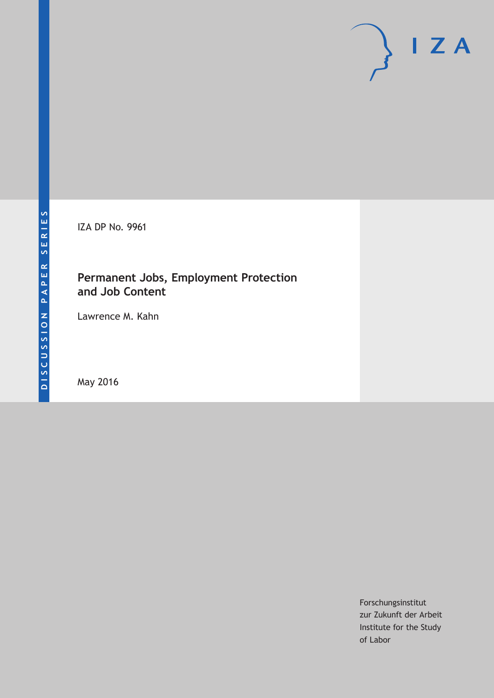IZA DP No. 9961

## **Permanent Jobs, Employment Protection and Job Content**

Lawrence M. Kahn

May 2016

Forschungsinstitut zur Zukunft der Arbeit Institute for the Study of Labor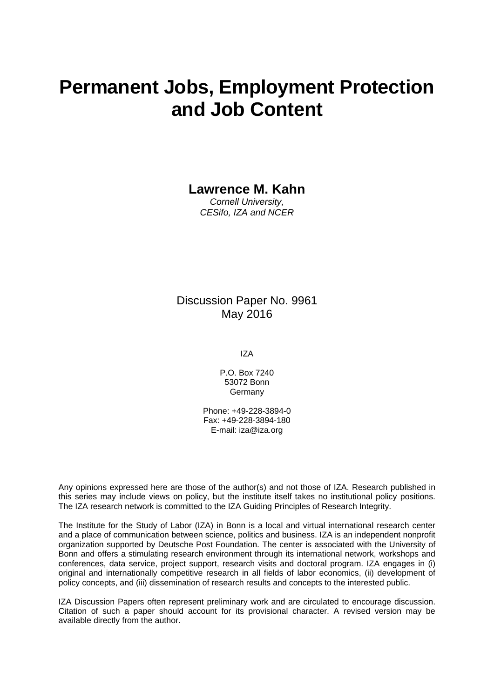# **Permanent Jobs, Employment Protection and Job Content**

## **Lawrence M. Kahn**

*Cornell University, CESifo, IZA and NCER* 

## Discussion Paper No. 9961 May 2016

IZA

P.O. Box 7240 53072 Bonn **Germany** 

Phone: +49-228-3894-0 Fax: +49-228-3894-180 E-mail: iza@iza.org

Any opinions expressed here are those of the author(s) and not those of IZA. Research published in this series may include views on policy, but the institute itself takes no institutional policy positions. The IZA research network is committed to the IZA Guiding Principles of Research Integrity.

The Institute for the Study of Labor (IZA) in Bonn is a local and virtual international research center and a place of communication between science, politics and business. IZA is an independent nonprofit organization supported by Deutsche Post Foundation. The center is associated with the University of Bonn and offers a stimulating research environment through its international network, workshops and conferences, data service, project support, research visits and doctoral program. IZA engages in (i) original and internationally competitive research in all fields of labor economics, (ii) development of policy concepts, and (iii) dissemination of research results and concepts to the interested public.

IZA Discussion Papers often represent preliminary work and are circulated to encourage discussion. Citation of such a paper should account for its provisional character. A revised version may be available directly from the author.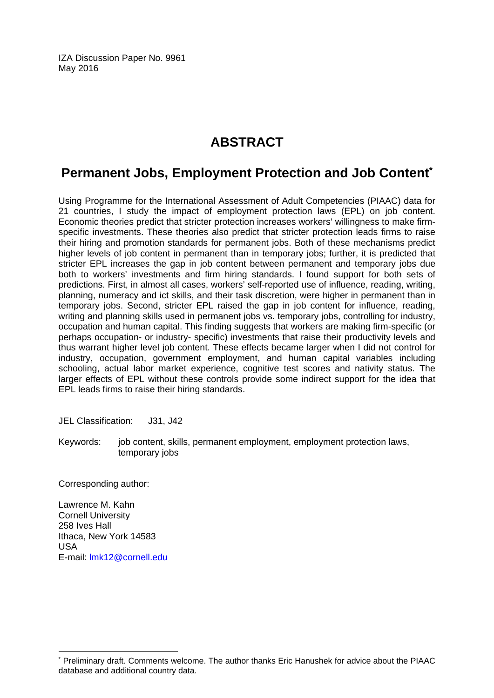IZA Discussion Paper No. 9961 May 2016

## **ABSTRACT**

## **Permanent Jobs, Employment Protection and Job Content\***

Using Programme for the International Assessment of Adult Competencies (PIAAC) data for 21 countries, I study the impact of employment protection laws (EPL) on job content. Economic theories predict that stricter protection increases workers' willingness to make firmspecific investments. These theories also predict that stricter protection leads firms to raise their hiring and promotion standards for permanent jobs. Both of these mechanisms predict higher levels of job content in permanent than in temporary jobs; further, it is predicted that stricter EPL increases the gap in job content between permanent and temporary jobs due both to workers' investments and firm hiring standards. I found support for both sets of predictions. First, in almost all cases, workers' self-reported use of influence, reading, writing, planning, numeracy and ict skills, and their task discretion, were higher in permanent than in temporary jobs. Second, stricter EPL raised the gap in job content for influence, reading, writing and planning skills used in permanent jobs vs. temporary jobs, controlling for industry, occupation and human capital. This finding suggests that workers are making firm-specific (or perhaps occupation- or industry- specific) investments that raise their productivity levels and thus warrant higher level job content. These effects became larger when I did not control for industry, occupation, government employment, and human capital variables including schooling, actual labor market experience, cognitive test scores and nativity status. The larger effects of EPL without these controls provide some indirect support for the idea that EPL leads firms to raise their hiring standards.

JEL Classification: J31, J42

Keywords: job content, skills, permanent employment, employment protection laws, temporary jobs

Corresponding author:

Lawrence M. Kahn Cornell University 258 Ives Hall Ithaca, New York 14583 USA E-mail: lmk12@cornell.edu

 $\overline{a}$ 

<sup>\*</sup> Preliminary draft. Comments welcome. The author thanks Eric Hanushek for advice about the PIAAC database and additional country data.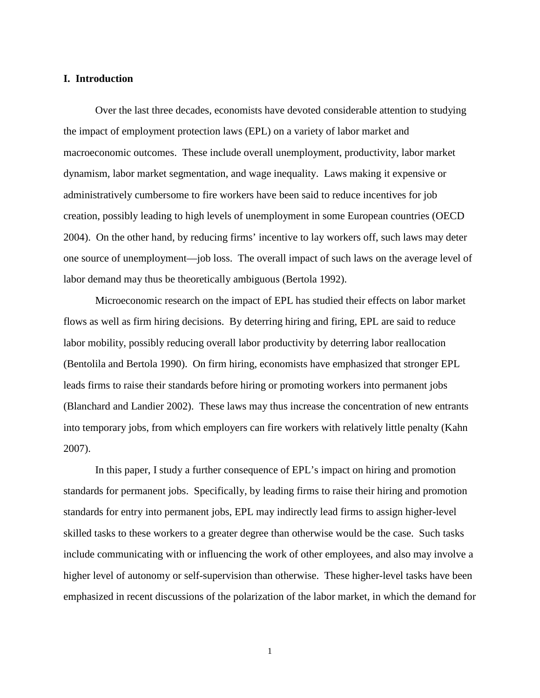#### **I. Introduction**

Over the last three decades, economists have devoted considerable attention to studying the impact of employment protection laws (EPL) on a variety of labor market and macroeconomic outcomes. These include overall unemployment, productivity, labor market dynamism, labor market segmentation, and wage inequality. Laws making it expensive or administratively cumbersome to fire workers have been said to reduce incentives for job creation, possibly leading to high levels of unemployment in some European countries (OECD 2004). On the other hand, by reducing firms' incentive to lay workers off, such laws may deter one source of unemployment—job loss. The overall impact of such laws on the average level of labor demand may thus be theoretically ambiguous (Bertola 1992).

Microeconomic research on the impact of EPL has studied their effects on labor market flows as well as firm hiring decisions. By deterring hiring and firing, EPL are said to reduce labor mobility, possibly reducing overall labor productivity by deterring labor reallocation (Bentolila and Bertola 1990). On firm hiring, economists have emphasized that stronger EPL leads firms to raise their standards before hiring or promoting workers into permanent jobs (Blanchard and Landier 2002). These laws may thus increase the concentration of new entrants into temporary jobs, from which employers can fire workers with relatively little penalty (Kahn 2007).

In this paper, I study a further consequence of EPL's impact on hiring and promotion standards for permanent jobs. Specifically, by leading firms to raise their hiring and promotion standards for entry into permanent jobs, EPL may indirectly lead firms to assign higher-level skilled tasks to these workers to a greater degree than otherwise would be the case. Such tasks include communicating with or influencing the work of other employees, and also may involve a higher level of autonomy or self-supervision than otherwise. These higher-level tasks have been emphasized in recent discussions of the polarization of the labor market, in which the demand for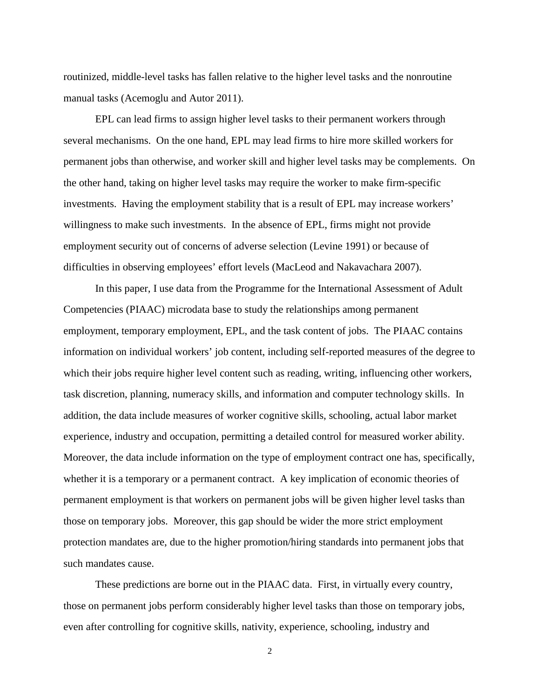routinized, middle-level tasks has fallen relative to the higher level tasks and the nonroutine manual tasks (Acemoglu and Autor 2011).

EPL can lead firms to assign higher level tasks to their permanent workers through several mechanisms. On the one hand, EPL may lead firms to hire more skilled workers for permanent jobs than otherwise, and worker skill and higher level tasks may be complements. On the other hand, taking on higher level tasks may require the worker to make firm-specific investments. Having the employment stability that is a result of EPL may increase workers' willingness to make such investments. In the absence of EPL, firms might not provide employment security out of concerns of adverse selection (Levine 1991) or because of difficulties in observing employees' effort levels (MacLeod and Nakavachara 2007).

In this paper, I use data from the Programme for the International Assessment of Adult Competencies (PIAAC) microdata base to study the relationships among permanent employment, temporary employment, EPL, and the task content of jobs. The PIAAC contains information on individual workers' job content, including self-reported measures of the degree to which their jobs require higher level content such as reading, writing, influencing other workers, task discretion, planning, numeracy skills, and information and computer technology skills. In addition, the data include measures of worker cognitive skills, schooling, actual labor market experience, industry and occupation, permitting a detailed control for measured worker ability. Moreover, the data include information on the type of employment contract one has, specifically, whether it is a temporary or a permanent contract. A key implication of economic theories of permanent employment is that workers on permanent jobs will be given higher level tasks than those on temporary jobs. Moreover, this gap should be wider the more strict employment protection mandates are, due to the higher promotion/hiring standards into permanent jobs that such mandates cause.

These predictions are borne out in the PIAAC data. First, in virtually every country, those on permanent jobs perform considerably higher level tasks than those on temporary jobs, even after controlling for cognitive skills, nativity, experience, schooling, industry and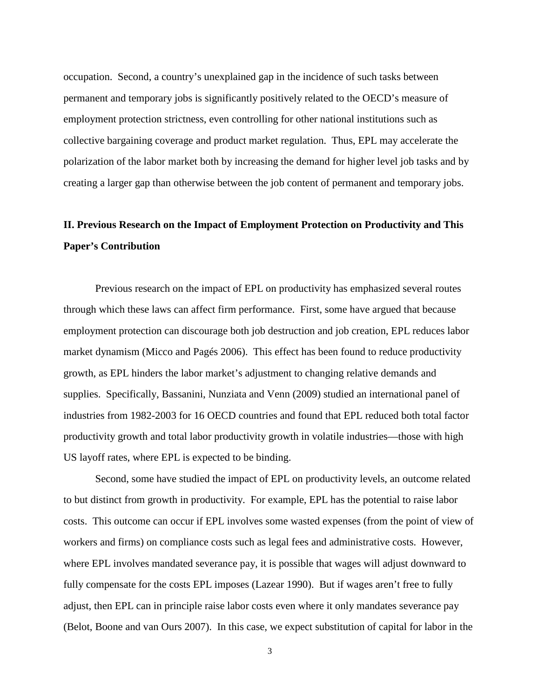occupation. Second, a country's unexplained gap in the incidence of such tasks between permanent and temporary jobs is significantly positively related to the OECD's measure of employment protection strictness, even controlling for other national institutions such as collective bargaining coverage and product market regulation. Thus, EPL may accelerate the polarization of the labor market both by increasing the demand for higher level job tasks and by creating a larger gap than otherwise between the job content of permanent and temporary jobs.

## **II. Previous Research on the Impact of Employment Protection on Productivity and This Paper's Contribution**

Previous research on the impact of EPL on productivity has emphasized several routes through which these laws can affect firm performance. First, some have argued that because employment protection can discourage both job destruction and job creation, EPL reduces labor market dynamism (Micco and Pagés 2006). This effect has been found to reduce productivity growth, as EPL hinders the labor market's adjustment to changing relative demands and supplies. Specifically, Bassanini, Nunziata and Venn (2009) studied an international panel of industries from 1982-2003 for 16 OECD countries and found that EPL reduced both total factor productivity growth and total labor productivity growth in volatile industries—those with high US layoff rates, where EPL is expected to be binding.

Second, some have studied the impact of EPL on productivity levels, an outcome related to but distinct from growth in productivity. For example, EPL has the potential to raise labor costs. This outcome can occur if EPL involves some wasted expenses (from the point of view of workers and firms) on compliance costs such as legal fees and administrative costs. However, where EPL involves mandated severance pay, it is possible that wages will adjust downward to fully compensate for the costs EPL imposes (Lazear 1990). But if wages aren't free to fully adjust, then EPL can in principle raise labor costs even where it only mandates severance pay (Belot, Boone and van Ours 2007). In this case, we expect substitution of capital for labor in the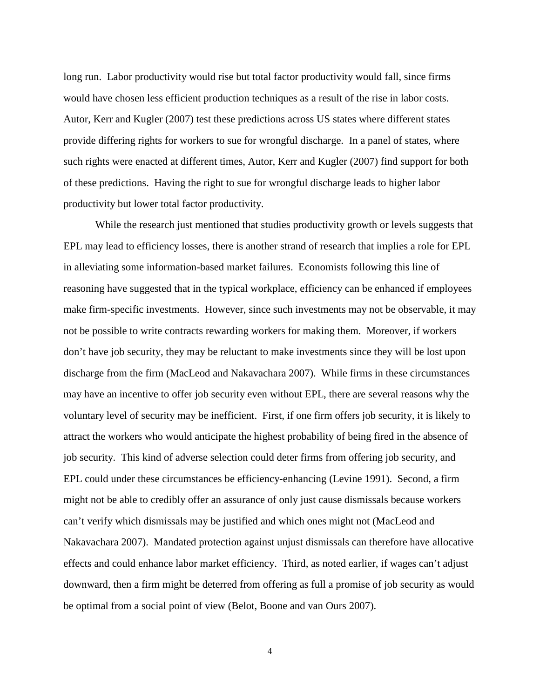long run. Labor productivity would rise but total factor productivity would fall, since firms would have chosen less efficient production techniques as a result of the rise in labor costs. Autor, Kerr and Kugler (2007) test these predictions across US states where different states provide differing rights for workers to sue for wrongful discharge. In a panel of states, where such rights were enacted at different times, Autor, Kerr and Kugler (2007) find support for both of these predictions. Having the right to sue for wrongful discharge leads to higher labor productivity but lower total factor productivity.

While the research just mentioned that studies productivity growth or levels suggests that EPL may lead to efficiency losses, there is another strand of research that implies a role for EPL in alleviating some information-based market failures. Economists following this line of reasoning have suggested that in the typical workplace, efficiency can be enhanced if employees make firm-specific investments. However, since such investments may not be observable, it may not be possible to write contracts rewarding workers for making them. Moreover, if workers don't have job security, they may be reluctant to make investments since they will be lost upon discharge from the firm (MacLeod and Nakavachara 2007). While firms in these circumstances may have an incentive to offer job security even without EPL, there are several reasons why the voluntary level of security may be inefficient. First, if one firm offers job security, it is likely to attract the workers who would anticipate the highest probability of being fired in the absence of job security. This kind of adverse selection could deter firms from offering job security, and EPL could under these circumstances be efficiency-enhancing (Levine 1991). Second, a firm might not be able to credibly offer an assurance of only just cause dismissals because workers can't verify which dismissals may be justified and which ones might not (MacLeod and Nakavachara 2007). Mandated protection against unjust dismissals can therefore have allocative effects and could enhance labor market efficiency. Third, as noted earlier, if wages can't adjust downward, then a firm might be deterred from offering as full a promise of job security as would be optimal from a social point of view (Belot, Boone and van Ours 2007).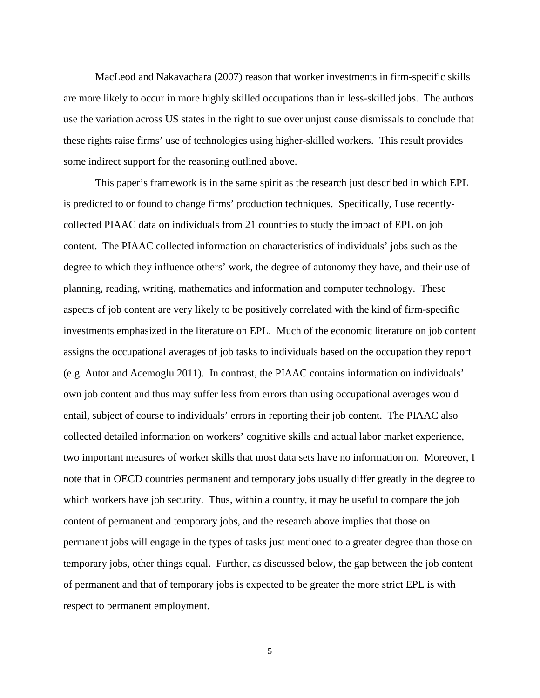MacLeod and Nakavachara (2007) reason that worker investments in firm-specific skills are more likely to occur in more highly skilled occupations than in less-skilled jobs. The authors use the variation across US states in the right to sue over unjust cause dismissals to conclude that these rights raise firms' use of technologies using higher-skilled workers. This result provides some indirect support for the reasoning outlined above.

This paper's framework is in the same spirit as the research just described in which EPL is predicted to or found to change firms' production techniques. Specifically, I use recentlycollected PIAAC data on individuals from 21 countries to study the impact of EPL on job content. The PIAAC collected information on characteristics of individuals' jobs such as the degree to which they influence others' work, the degree of autonomy they have, and their use of planning, reading, writing, mathematics and information and computer technology. These aspects of job content are very likely to be positively correlated with the kind of firm-specific investments emphasized in the literature on EPL. Much of the economic literature on job content assigns the occupational averages of job tasks to individuals based on the occupation they report (e.g. Autor and Acemoglu 2011). In contrast, the PIAAC contains information on individuals' own job content and thus may suffer less from errors than using occupational averages would entail, subject of course to individuals' errors in reporting their job content. The PIAAC also collected detailed information on workers' cognitive skills and actual labor market experience, two important measures of worker skills that most data sets have no information on. Moreover, I note that in OECD countries permanent and temporary jobs usually differ greatly in the degree to which workers have job security. Thus, within a country, it may be useful to compare the job content of permanent and temporary jobs, and the research above implies that those on permanent jobs will engage in the types of tasks just mentioned to a greater degree than those on temporary jobs, other things equal. Further, as discussed below, the gap between the job content of permanent and that of temporary jobs is expected to be greater the more strict EPL is with respect to permanent employment.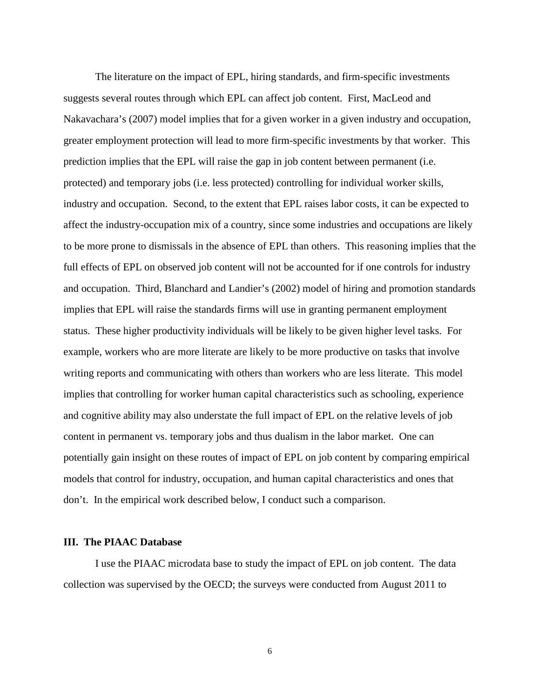The literature on the impact of EPL, hiring standards, and firm-specific investments suggests several routes through which EPL can affect job content. First, MacLeod and Nakavachara's (2007) model implies that for a given worker in a given industry and occupation, greater employment protection will lead to more firm-specific investments by that worker. This prediction implies that the EPL will raise the gap in job content between permanent (i.e. protected) and temporary jobs (i.e. less protected) controlling for individual worker skills, industry and occupation. Second, to the extent that EPL raises labor costs, it can be expected to affect the industry-occupation mix of a country, since some industries and occupations are likely to be more prone to dismissals in the absence of EPL than others. This reasoning implies that the full effects of EPL on observed job content will not be accounted for if one controls for industry and occupation. Third, Blanchard and Landier's (2002) model of hiring and promotion standards implies that EPL will raise the standards firms will use in granting permanent employment status. These higher productivity individuals will be likely to be given higher level tasks. For example, workers who are more literate are likely to be more productive on tasks that involve writing reports and communicating with others than workers who are less literate. This model implies that controlling for worker human capital characteristics such as schooling, experience and cognitive ability may also understate the full impact of EPL on the relative levels of job content in permanent vs. temporary jobs and thus dualism in the labor market. One can potentially gain insight on these routes of impact of EPL on job content by comparing empirical models that control for industry, occupation, and human capital characteristics and ones that don't. In the empirical work described below, I conduct such a comparison.

#### **III. The PIAAC Database**

I use the PIAAC microdata base to study the impact of EPL on job content. The data collection was supervised by the OECD; the surveys were conducted from August 2011 to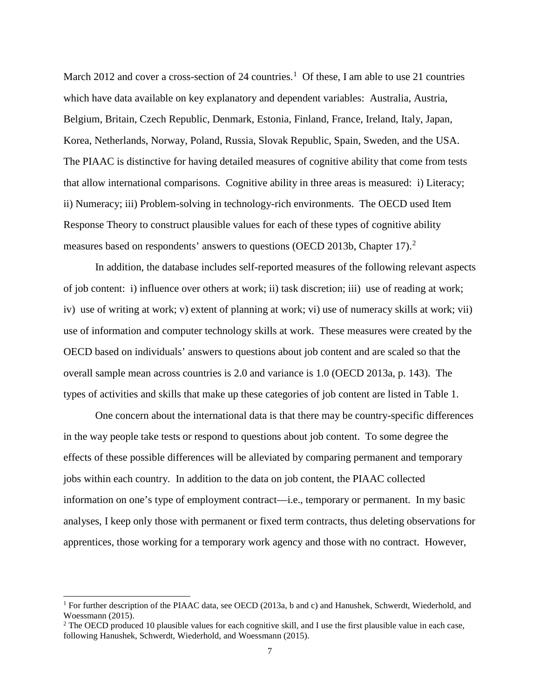March 20[1](#page-9-0)2 and cover a cross-section of 24 countries.<sup>1</sup> Of these, I am able to use 21 countries which have data available on key explanatory and dependent variables: Australia, Austria, Belgium, Britain, Czech Republic, Denmark, Estonia, Finland, France, Ireland, Italy, Japan, Korea, Netherlands, Norway, Poland, Russia, Slovak Republic, Spain, Sweden, and the USA. The PIAAC is distinctive for having detailed measures of cognitive ability that come from tests that allow international comparisons. Cognitive ability in three areas is measured: i) Literacy; ii) Numeracy; iii) Problem-solving in technology-rich environments. The OECD used Item Response Theory to construct plausible values for each of these types of cognitive ability measures based on respondents' answers to questions (OECD [2](#page-9-1)013b, Chapter 17).<sup>2</sup>

In addition, the database includes self-reported measures of the following relevant aspects of job content: i) influence over others at work; ii) task discretion; iii) use of reading at work; iv) use of writing at work; v) extent of planning at work; vi) use of numeracy skills at work; vii) use of information and computer technology skills at work. These measures were created by the OECD based on individuals' answers to questions about job content and are scaled so that the overall sample mean across countries is 2.0 and variance is 1.0 (OECD 2013a, p. 143). The types of activities and skills that make up these categories of job content are listed in Table 1.

One concern about the international data is that there may be country-specific differences in the way people take tests or respond to questions about job content. To some degree the effects of these possible differences will be alleviated by comparing permanent and temporary jobs within each country. In addition to the data on job content, the PIAAC collected information on one's type of employment contract—i.e., temporary or permanent. In my basic analyses, I keep only those with permanent or fixed term contracts, thus deleting observations for apprentices, those working for a temporary work agency and those with no contract. However,

<span id="page-9-0"></span><sup>&</sup>lt;sup>1</sup> For further description of the PIAAC data, see OECD (2013a, b and c) and Hanushek, Schwerdt, Wiederhold, and Woessmann (2015).

<span id="page-9-1"></span><sup>&</sup>lt;sup>2</sup> The OECD produced 10 plausible values for each cognitive skill, and I use the first plausible value in each case, following Hanushek, Schwerdt, Wiederhold, and Woessmann (2015).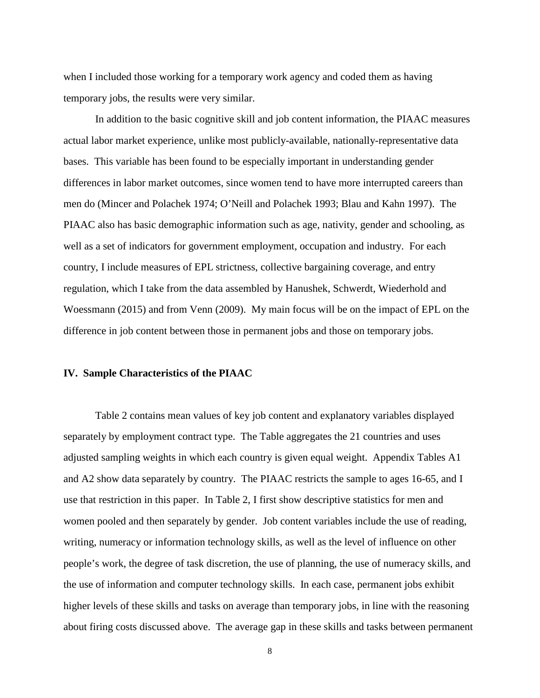when I included those working for a temporary work agency and coded them as having temporary jobs, the results were very similar.

In addition to the basic cognitive skill and job content information, the PIAAC measures actual labor market experience, unlike most publicly-available, nationally-representative data bases. This variable has been found to be especially important in understanding gender differences in labor market outcomes, since women tend to have more interrupted careers than men do (Mincer and Polachek 1974; O'Neill and Polachek 1993; Blau and Kahn 1997). The PIAAC also has basic demographic information such as age, nativity, gender and schooling, as well as a set of indicators for government employment, occupation and industry. For each country, I include measures of EPL strictness, collective bargaining coverage, and entry regulation, which I take from the data assembled by Hanushek, Schwerdt, Wiederhold and Woessmann (2015) and from Venn (2009). My main focus will be on the impact of EPL on the difference in job content between those in permanent jobs and those on temporary jobs.

#### **IV. Sample Characteristics of the PIAAC**

Table 2 contains mean values of key job content and explanatory variables displayed separately by employment contract type. The Table aggregates the 21 countries and uses adjusted sampling weights in which each country is given equal weight. Appendix Tables A1 and A2 show data separately by country. The PIAAC restricts the sample to ages 16-65, and I use that restriction in this paper. In Table 2, I first show descriptive statistics for men and women pooled and then separately by gender. Job content variables include the use of reading, writing, numeracy or information technology skills, as well as the level of influence on other people's work, the degree of task discretion, the use of planning, the use of numeracy skills, and the use of information and computer technology skills. In each case, permanent jobs exhibit higher levels of these skills and tasks on average than temporary jobs, in line with the reasoning about firing costs discussed above. The average gap in these skills and tasks between permanent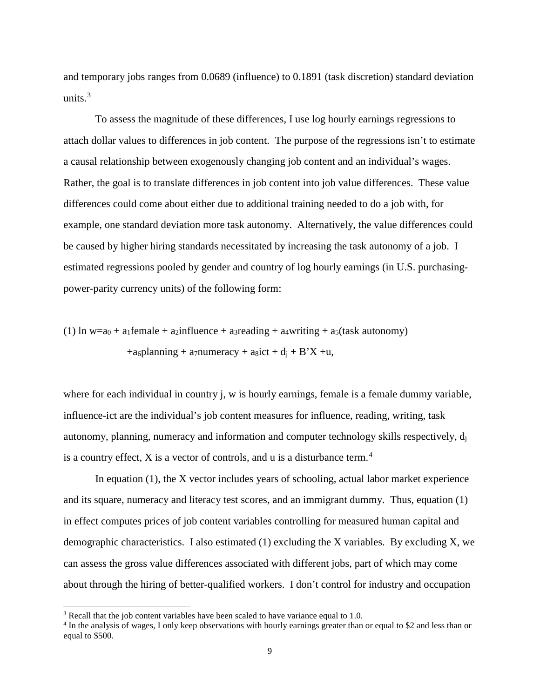and temporary jobs ranges from 0.0689 (influence) to 0.1891 (task discretion) standard deviation units. $3$ 

To assess the magnitude of these differences, I use log hourly earnings regressions to attach dollar values to differences in job content. The purpose of the regressions isn't to estimate a causal relationship between exogenously changing job content and an individual's wages. Rather, the goal is to translate differences in job content into job value differences. These value differences could come about either due to additional training needed to do a job with, for example, one standard deviation more task autonomy. Alternatively, the value differences could be caused by higher hiring standards necessitated by increasing the task autonomy of a job. I estimated regressions pooled by gender and country of log hourly earnings (in U.S. purchasingpower-parity currency units) of the following form:

(1) ln w=a<sub>0</sub> + a<sub>1</sub>female + a<sub>2</sub>influence + a<sub>3</sub>reading + a<sub>4</sub>writing + a<sub>5</sub>(task autonomy) +a<sub>6</sub>planning + a<sub>7</sub>numeracy + a<sub>8</sub>ict +  $d_i$  + B'X +u,

where for each individual in country j, w is hourly earnings, female is a female dummy variable, influence-ict are the individual's job content measures for influence, reading, writing, task autonomy, planning, numeracy and information and computer technology skills respectively,  $d_i$ is a country effect, X is a vector of controls, and u is a disturbance term.<sup>[4](#page-11-1)</sup>

In equation (1), the X vector includes years of schooling, actual labor market experience and its square, numeracy and literacy test scores, and an immigrant dummy. Thus, equation (1) in effect computes prices of job content variables controlling for measured human capital and demographic characteristics. I also estimated (1) excluding the X variables. By excluding X, we can assess the gross value differences associated with different jobs, part of which may come about through the hiring of better-qualified workers. I don't control for industry and occupation

<span id="page-11-0"></span><sup>&</sup>lt;sup>3</sup> Recall that the job content variables have been scaled to have variance equal to 1.0.

<span id="page-11-1"></span><sup>&</sup>lt;sup>4</sup> In the analysis of wages, I only keep observations with hourly earnings greater than or equal to \$2 and less than or equal to \$500.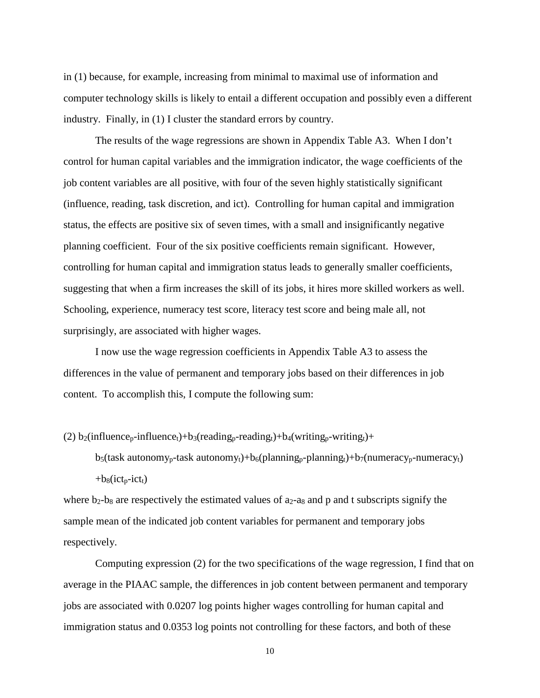in (1) because, for example, increasing from minimal to maximal use of information and computer technology skills is likely to entail a different occupation and possibly even a different industry. Finally, in (1) I cluster the standard errors by country.

The results of the wage regressions are shown in Appendix Table A3. When I don't control for human capital variables and the immigration indicator, the wage coefficients of the job content variables are all positive, with four of the seven highly statistically significant (influence, reading, task discretion, and ict). Controlling for human capital and immigration status, the effects are positive six of seven times, with a small and insignificantly negative planning coefficient. Four of the six positive coefficients remain significant. However, controlling for human capital and immigration status leads to generally smaller coefficients, suggesting that when a firm increases the skill of its jobs, it hires more skilled workers as well. Schooling, experience, numeracy test score, literacy test score and being male all, not surprisingly, are associated with higher wages.

I now use the wage regression coefficients in Appendix Table A3 to assess the differences in the value of permanent and temporary jobs based on their differences in job content. To accomplish this, I compute the following sum:

(2)  $b_2$ (influence<sub>p</sub>-influence<sub>t</sub>)+b<sub>3</sub>(reading<sub>p</sub>-reading<sub>t</sub>)+b<sub>4</sub>(writing<sub>p</sub>-writing<sub>t</sub>)+

 $b_5$ (task autonomy<sub>p</sub>-task autonomy<sub>t</sub>)+b<sub>6</sub>(planning<sub>p</sub>-planning<sub>t</sub>)+b<sub>7</sub>(numeracy<sub>p</sub>-numeracy<sub>t</sub>)  $+b_8(ict_p-ict_t)$ 

where  $b_2-b_8$  are respectively the estimated values of  $a_2-a_8$  and p and t subscripts signify the sample mean of the indicated job content variables for permanent and temporary jobs respectively.

Computing expression (2) for the two specifications of the wage regression, I find that on average in the PIAAC sample, the differences in job content between permanent and temporary jobs are associated with 0.0207 log points higher wages controlling for human capital and immigration status and 0.0353 log points not controlling for these factors, and both of these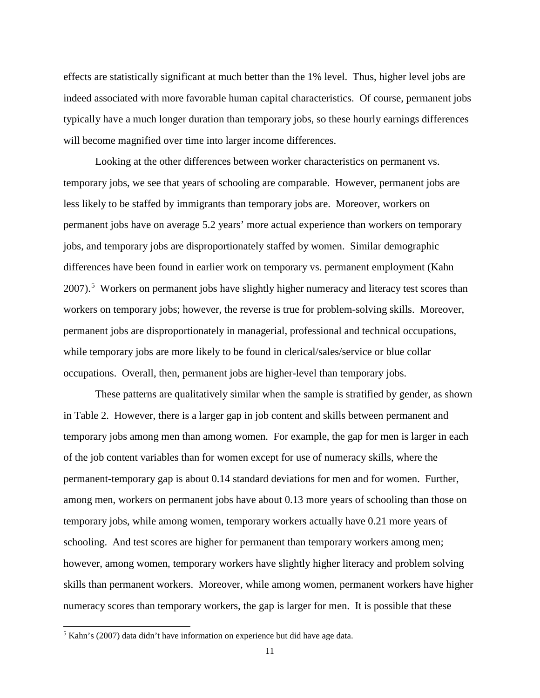effects are statistically significant at much better than the 1% level. Thus, higher level jobs are indeed associated with more favorable human capital characteristics. Of course, permanent jobs typically have a much longer duration than temporary jobs, so these hourly earnings differences will become magnified over time into larger income differences.

Looking at the other differences between worker characteristics on permanent vs. temporary jobs, we see that years of schooling are comparable. However, permanent jobs are less likely to be staffed by immigrants than temporary jobs are. Moreover, workers on permanent jobs have on average 5.2 years' more actual experience than workers on temporary jobs, and temporary jobs are disproportionately staffed by women. Similar demographic differences have been found in earlier work on temporary vs. permanent employment (Kahn 2007).<sup>[5](#page-13-0)</sup> Workers on permanent jobs have slightly higher numeracy and literacy test scores than workers on temporary jobs; however, the reverse is true for problem-solving skills. Moreover, permanent jobs are disproportionately in managerial, professional and technical occupations, while temporary jobs are more likely to be found in clerical/sales/service or blue collar occupations. Overall, then, permanent jobs are higher-level than temporary jobs.

These patterns are qualitatively similar when the sample is stratified by gender, as shown in Table 2. However, there is a larger gap in job content and skills between permanent and temporary jobs among men than among women. For example, the gap for men is larger in each of the job content variables than for women except for use of numeracy skills, where the permanent-temporary gap is about 0.14 standard deviations for men and for women. Further, among men, workers on permanent jobs have about 0.13 more years of schooling than those on temporary jobs, while among women, temporary workers actually have 0.21 more years of schooling. And test scores are higher for permanent than temporary workers among men; however, among women, temporary workers have slightly higher literacy and problem solving skills than permanent workers. Moreover, while among women, permanent workers have higher numeracy scores than temporary workers, the gap is larger for men. It is possible that these

<span id="page-13-0"></span> <sup>5</sup> Kahn's (2007) data didn't have information on experience but did have age data.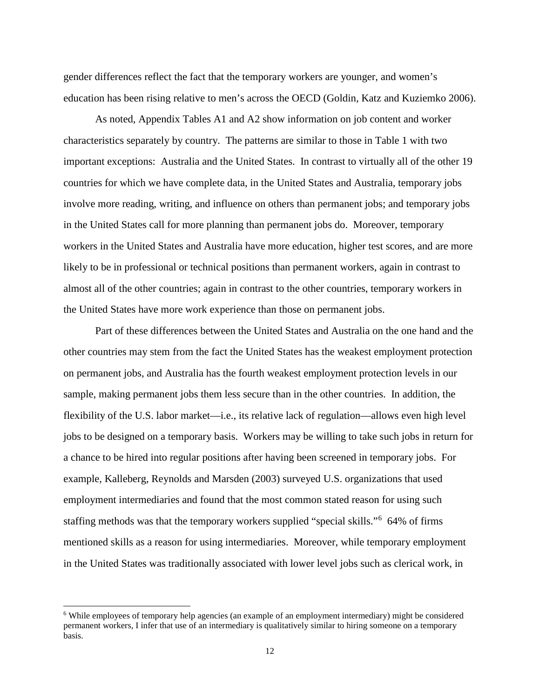gender differences reflect the fact that the temporary workers are younger, and women's education has been rising relative to men's across the OECD (Goldin, Katz and Kuziemko 2006).

As noted, Appendix Tables A1 and A2 show information on job content and worker characteristics separately by country. The patterns are similar to those in Table 1 with two important exceptions: Australia and the United States. In contrast to virtually all of the other 19 countries for which we have complete data, in the United States and Australia, temporary jobs involve more reading, writing, and influence on others than permanent jobs; and temporary jobs in the United States call for more planning than permanent jobs do. Moreover, temporary workers in the United States and Australia have more education, higher test scores, and are more likely to be in professional or technical positions than permanent workers, again in contrast to almost all of the other countries; again in contrast to the other countries, temporary workers in the United States have more work experience than those on permanent jobs.

Part of these differences between the United States and Australia on the one hand and the other countries may stem from the fact the United States has the weakest employment protection on permanent jobs, and Australia has the fourth weakest employment protection levels in our sample, making permanent jobs them less secure than in the other countries. In addition, the flexibility of the U.S. labor market—i.e., its relative lack of regulation—allows even high level jobs to be designed on a temporary basis. Workers may be willing to take such jobs in return for a chance to be hired into regular positions after having been screened in temporary jobs. For example, Kalleberg, Reynolds and Marsden (2003) surveyed U.S. organizations that used employment intermediaries and found that the most common stated reason for using such staffing methods was that the temporary workers supplied "special skills."[6](#page-14-0) 64% of firms mentioned skills as a reason for using intermediaries. Moreover, while temporary employment in the United States was traditionally associated with lower level jobs such as clerical work, in

<span id="page-14-0"></span> <sup>6</sup> While employees of temporary help agencies (an example of an employment intermediary) might be considered permanent workers, I infer that use of an intermediary is qualitatively similar to hiring someone on a temporary basis.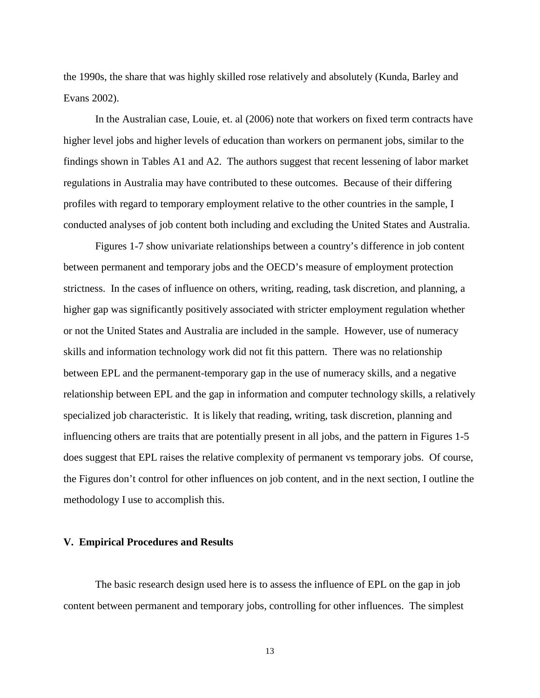the 1990s, the share that was highly skilled rose relatively and absolutely (Kunda, Barley and Evans 2002).

In the Australian case, Louie, et. al (2006) note that workers on fixed term contracts have higher level jobs and higher levels of education than workers on permanent jobs, similar to the findings shown in Tables A1 and A2. The authors suggest that recent lessening of labor market regulations in Australia may have contributed to these outcomes. Because of their differing profiles with regard to temporary employment relative to the other countries in the sample, I conducted analyses of job content both including and excluding the United States and Australia.

Figures 1-7 show univariate relationships between a country's difference in job content between permanent and temporary jobs and the OECD's measure of employment protection strictness. In the cases of influence on others, writing, reading, task discretion, and planning, a higher gap was significantly positively associated with stricter employment regulation whether or not the United States and Australia are included in the sample. However, use of numeracy skills and information technology work did not fit this pattern. There was no relationship between EPL and the permanent-temporary gap in the use of numeracy skills, and a negative relationship between EPL and the gap in information and computer technology skills, a relatively specialized job characteristic. It is likely that reading, writing, task discretion, planning and influencing others are traits that are potentially present in all jobs, and the pattern in Figures 1-5 does suggest that EPL raises the relative complexity of permanent vs temporary jobs. Of course, the Figures don't control for other influences on job content, and in the next section, I outline the methodology I use to accomplish this.

#### **V. Empirical Procedures and Results**

The basic research design used here is to assess the influence of EPL on the gap in job content between permanent and temporary jobs, controlling for other influences. The simplest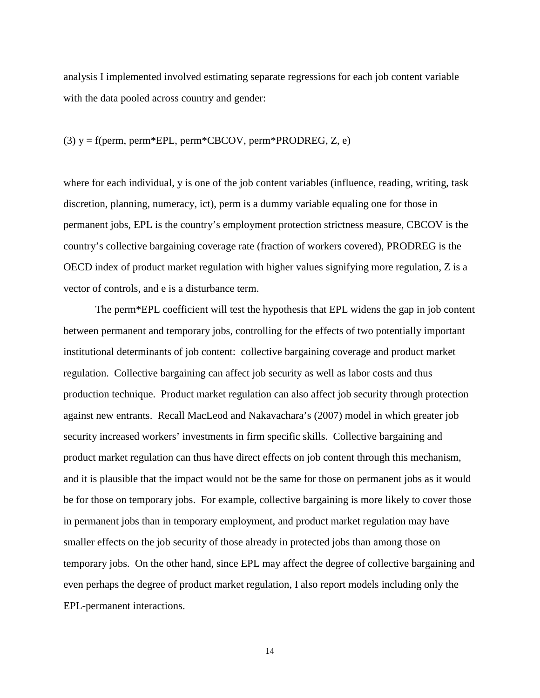analysis I implemented involved estimating separate regressions for each job content variable with the data pooled across country and gender:

### (3)  $y = f(perm, perm*EPL, perm*CBCOV, perm*PRODREG, Z, e)$

where for each individual, y is one of the job content variables (influence, reading, writing, task discretion, planning, numeracy, ict), perm is a dummy variable equaling one for those in permanent jobs, EPL is the country's employment protection strictness measure, CBCOV is the country's collective bargaining coverage rate (fraction of workers covered), PRODREG is the OECD index of product market regulation with higher values signifying more regulation, Z is a vector of controls, and e is a disturbance term.

The perm\*EPL coefficient will test the hypothesis that EPL widens the gap in job content between permanent and temporary jobs, controlling for the effects of two potentially important institutional determinants of job content: collective bargaining coverage and product market regulation. Collective bargaining can affect job security as well as labor costs and thus production technique. Product market regulation can also affect job security through protection against new entrants. Recall MacLeod and Nakavachara's (2007) model in which greater job security increased workers' investments in firm specific skills. Collective bargaining and product market regulation can thus have direct effects on job content through this mechanism, and it is plausible that the impact would not be the same for those on permanent jobs as it would be for those on temporary jobs. For example, collective bargaining is more likely to cover those in permanent jobs than in temporary employment, and product market regulation may have smaller effects on the job security of those already in protected jobs than among those on temporary jobs. On the other hand, since EPL may affect the degree of collective bargaining and even perhaps the degree of product market regulation, I also report models including only the EPL-permanent interactions.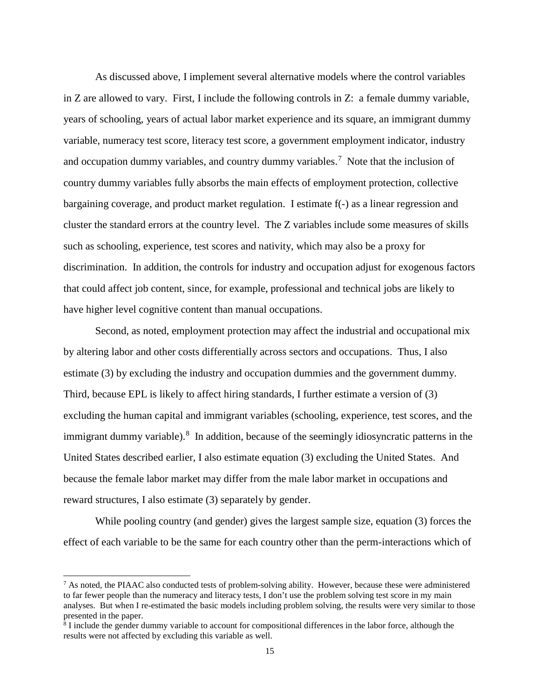As discussed above, I implement several alternative models where the control variables in Z are allowed to vary. First, I include the following controls in Z: a female dummy variable, years of schooling, years of actual labor market experience and its square, an immigrant dummy variable, numeracy test score, literacy test score, a government employment indicator, industry and occupation dummy variables, and country dummy variables.<sup>[7](#page-17-0)</sup> Note that the inclusion of country dummy variables fully absorbs the main effects of employment protection, collective bargaining coverage, and product market regulation. I estimate f(-) as a linear regression and cluster the standard errors at the country level. The Z variables include some measures of skills such as schooling, experience, test scores and nativity, which may also be a proxy for discrimination. In addition, the controls for industry and occupation adjust for exogenous factors that could affect job content, since, for example, professional and technical jobs are likely to have higher level cognitive content than manual occupations.

Second, as noted, employment protection may affect the industrial and occupational mix by altering labor and other costs differentially across sectors and occupations. Thus, I also estimate (3) by excluding the industry and occupation dummies and the government dummy. Third, because EPL is likely to affect hiring standards, I further estimate a version of (3) excluding the human capital and immigrant variables (schooling, experience, test scores, and the immigrant dummy variable).<sup>[8](#page-17-1)</sup> In addition, because of the seemingly idiosyncratic patterns in the United States described earlier, I also estimate equation (3) excluding the United States. And because the female labor market may differ from the male labor market in occupations and reward structures, I also estimate (3) separately by gender.

While pooling country (and gender) gives the largest sample size, equation (3) forces the effect of each variable to be the same for each country other than the perm-interactions which of

<span id="page-17-0"></span> $^7$  As noted, the PIAAC also conducted tests of problem-solving ability. However, because these were administered to far fewer people than the numeracy and literacy tests, I don't use the problem solving test score in my main analyses. But when I re-estimated the basic models including problem solving, the results were very similar to those presented in the paper.

<span id="page-17-1"></span><sup>&</sup>lt;sup>8</sup> I include the gender dummy variable to account for compositional differences in the labor force, although the results were not affected by excluding this variable as well.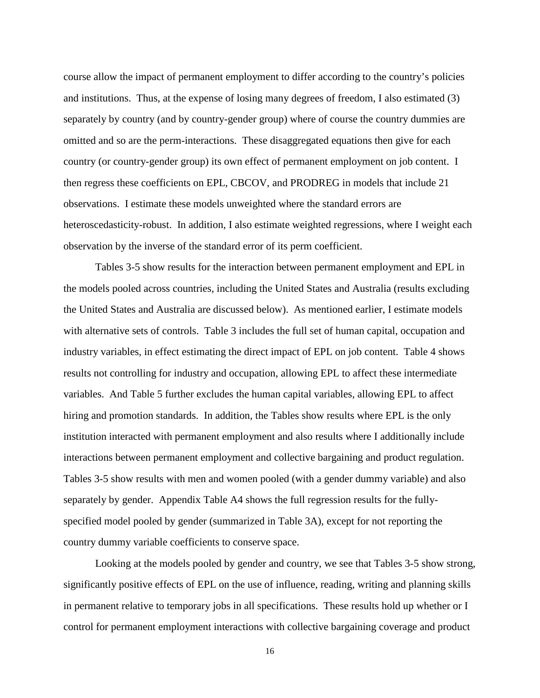course allow the impact of permanent employment to differ according to the country's policies and institutions. Thus, at the expense of losing many degrees of freedom, I also estimated (3) separately by country (and by country-gender group) where of course the country dummies are omitted and so are the perm-interactions. These disaggregated equations then give for each country (or country-gender group) its own effect of permanent employment on job content. I then regress these coefficients on EPL, CBCOV, and PRODREG in models that include 21 observations. I estimate these models unweighted where the standard errors are heteroscedasticity-robust. In addition, I also estimate weighted regressions, where I weight each observation by the inverse of the standard error of its perm coefficient.

Tables 3-5 show results for the interaction between permanent employment and EPL in the models pooled across countries, including the United States and Australia (results excluding the United States and Australia are discussed below). As mentioned earlier, I estimate models with alternative sets of controls. Table 3 includes the full set of human capital, occupation and industry variables, in effect estimating the direct impact of EPL on job content. Table 4 shows results not controlling for industry and occupation, allowing EPL to affect these intermediate variables. And Table 5 further excludes the human capital variables, allowing EPL to affect hiring and promotion standards. In addition, the Tables show results where EPL is the only institution interacted with permanent employment and also results where I additionally include interactions between permanent employment and collective bargaining and product regulation. Tables 3-5 show results with men and women pooled (with a gender dummy variable) and also separately by gender. Appendix Table A4 shows the full regression results for the fullyspecified model pooled by gender (summarized in Table 3A), except for not reporting the country dummy variable coefficients to conserve space.

Looking at the models pooled by gender and country, we see that Tables 3-5 show strong, significantly positive effects of EPL on the use of influence, reading, writing and planning skills in permanent relative to temporary jobs in all specifications. These results hold up whether or I control for permanent employment interactions with collective bargaining coverage and product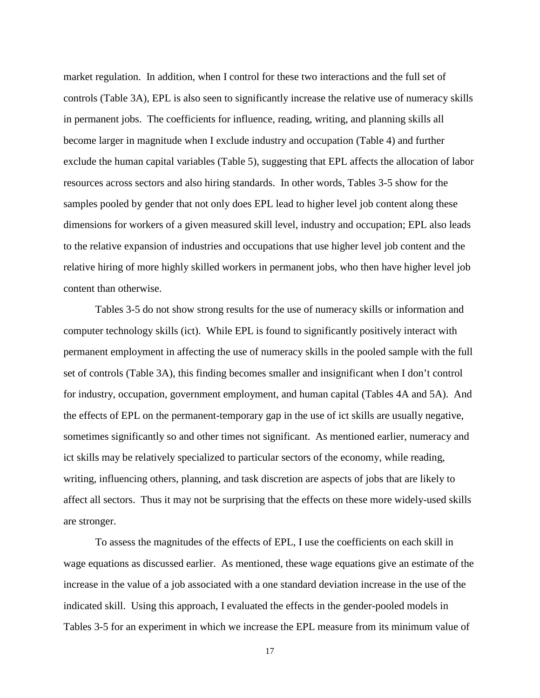market regulation. In addition, when I control for these two interactions and the full set of controls (Table 3A), EPL is also seen to significantly increase the relative use of numeracy skills in permanent jobs. The coefficients for influence, reading, writing, and planning skills all become larger in magnitude when I exclude industry and occupation (Table 4) and further exclude the human capital variables (Table 5), suggesting that EPL affects the allocation of labor resources across sectors and also hiring standards. In other words, Tables 3-5 show for the samples pooled by gender that not only does EPL lead to higher level job content along these dimensions for workers of a given measured skill level, industry and occupation; EPL also leads to the relative expansion of industries and occupations that use higher level job content and the relative hiring of more highly skilled workers in permanent jobs, who then have higher level job content than otherwise.

Tables 3-5 do not show strong results for the use of numeracy skills or information and computer technology skills (ict). While EPL is found to significantly positively interact with permanent employment in affecting the use of numeracy skills in the pooled sample with the full set of controls (Table 3A), this finding becomes smaller and insignificant when I don't control for industry, occupation, government employment, and human capital (Tables 4A and 5A). And the effects of EPL on the permanent-temporary gap in the use of ict skills are usually negative, sometimes significantly so and other times not significant. As mentioned earlier, numeracy and ict skills may be relatively specialized to particular sectors of the economy, while reading, writing, influencing others, planning, and task discretion are aspects of jobs that are likely to affect all sectors. Thus it may not be surprising that the effects on these more widely-used skills are stronger.

To assess the magnitudes of the effects of EPL, I use the coefficients on each skill in wage equations as discussed earlier. As mentioned, these wage equations give an estimate of the increase in the value of a job associated with a one standard deviation increase in the use of the indicated skill. Using this approach, I evaluated the effects in the gender-pooled models in Tables 3-5 for an experiment in which we increase the EPL measure from its minimum value of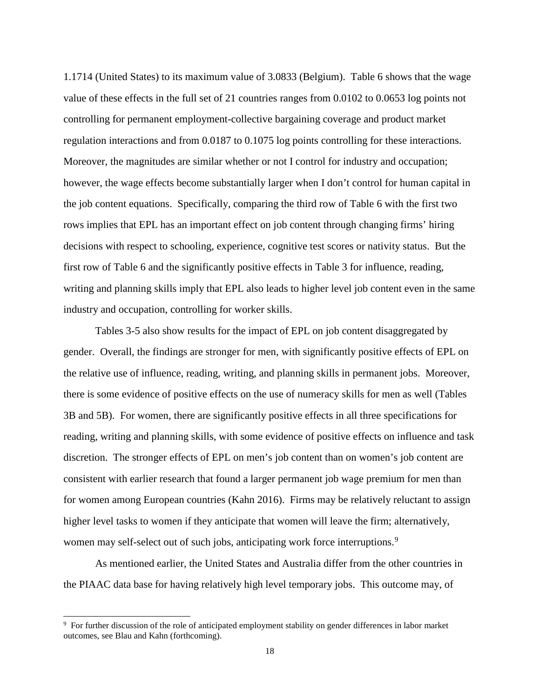1.1714 (United States) to its maximum value of 3.0833 (Belgium). Table 6 shows that the wage value of these effects in the full set of 21 countries ranges from 0.0102 to 0.0653 log points not controlling for permanent employment-collective bargaining coverage and product market regulation interactions and from 0.0187 to 0.1075 log points controlling for these interactions. Moreover, the magnitudes are similar whether or not I control for industry and occupation; however, the wage effects become substantially larger when I don't control for human capital in the job content equations. Specifically, comparing the third row of Table 6 with the first two rows implies that EPL has an important effect on job content through changing firms' hiring decisions with respect to schooling, experience, cognitive test scores or nativity status. But the first row of Table 6 and the significantly positive effects in Table 3 for influence, reading, writing and planning skills imply that EPL also leads to higher level job content even in the same industry and occupation, controlling for worker skills.

Tables 3-5 also show results for the impact of EPL on job content disaggregated by gender. Overall, the findings are stronger for men, with significantly positive effects of EPL on the relative use of influence, reading, writing, and planning skills in permanent jobs. Moreover, there is some evidence of positive effects on the use of numeracy skills for men as well (Tables 3B and 5B). For women, there are significantly positive effects in all three specifications for reading, writing and planning skills, with some evidence of positive effects on influence and task discretion. The stronger effects of EPL on men's job content than on women's job content are consistent with earlier research that found a larger permanent job wage premium for men than for women among European countries (Kahn 2016). Firms may be relatively reluctant to assign higher level tasks to women if they anticipate that women will leave the firm; alternatively, women may self-select out of such jobs, anticipating work force interruptions.<sup>[9](#page-20-0)</sup>

As mentioned earlier, the United States and Australia differ from the other countries in the PIAAC data base for having relatively high level temporary jobs. This outcome may, of

<span id="page-20-0"></span> <sup>9</sup> <sup>9</sup> For further discussion of the role of anticipated employment stability on gender differences in labor market outcomes, see Blau and Kahn (forthcoming).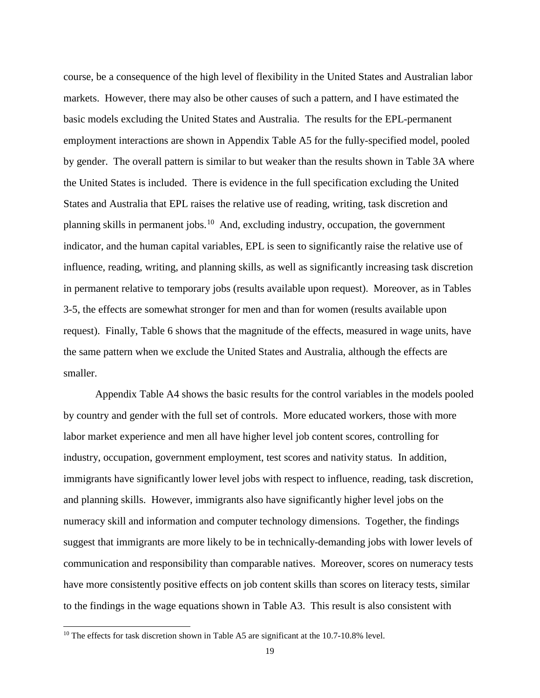course, be a consequence of the high level of flexibility in the United States and Australian labor markets. However, there may also be other causes of such a pattern, and I have estimated the basic models excluding the United States and Australia. The results for the EPL-permanent employment interactions are shown in Appendix Table A5 for the fully-specified model, pooled by gender. The overall pattern is similar to but weaker than the results shown in Table 3A where the United States is included. There is evidence in the full specification excluding the United States and Australia that EPL raises the relative use of reading, writing, task discretion and planning skills in permanent jobs.[10](#page-21-0) And, excluding industry, occupation, the government indicator, and the human capital variables, EPL is seen to significantly raise the relative use of influence, reading, writing, and planning skills, as well as significantly increasing task discretion in permanent relative to temporary jobs (results available upon request). Moreover, as in Tables 3-5, the effects are somewhat stronger for men and than for women (results available upon request). Finally, Table 6 shows that the magnitude of the effects, measured in wage units, have the same pattern when we exclude the United States and Australia, although the effects are smaller.

Appendix Table A4 shows the basic results for the control variables in the models pooled by country and gender with the full set of controls. More educated workers, those with more labor market experience and men all have higher level job content scores, controlling for industry, occupation, government employment, test scores and nativity status. In addition, immigrants have significantly lower level jobs with respect to influence, reading, task discretion, and planning skills. However, immigrants also have significantly higher level jobs on the numeracy skill and information and computer technology dimensions. Together, the findings suggest that immigrants are more likely to be in technically-demanding jobs with lower levels of communication and responsibility than comparable natives. Moreover, scores on numeracy tests have more consistently positive effects on job content skills than scores on literacy tests, similar to the findings in the wage equations shown in Table A3. This result is also consistent with

<span id="page-21-0"></span><sup>&</sup>lt;sup>10</sup> The effects for task discretion shown in Table A5 are significant at the 10.7-10.8% level.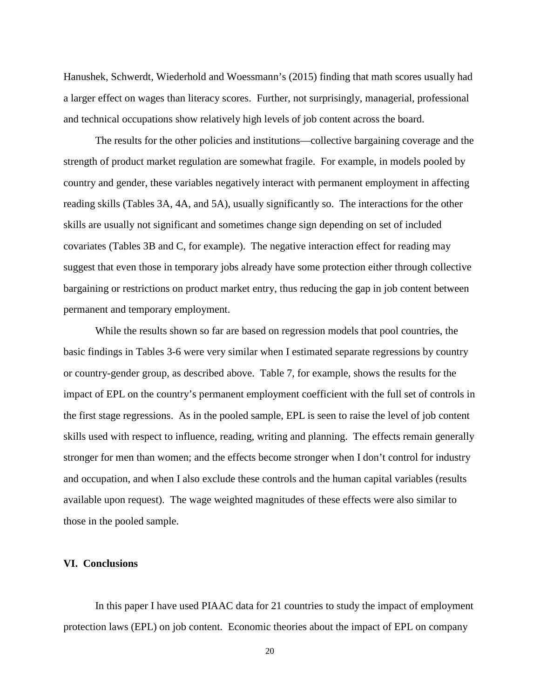Hanushek, Schwerdt, Wiederhold and Woessmann's (2015) finding that math scores usually had a larger effect on wages than literacy scores. Further, not surprisingly, managerial, professional and technical occupations show relatively high levels of job content across the board.

The results for the other policies and institutions—collective bargaining coverage and the strength of product market regulation are somewhat fragile. For example, in models pooled by country and gender, these variables negatively interact with permanent employment in affecting reading skills (Tables 3A, 4A, and 5A), usually significantly so. The interactions for the other skills are usually not significant and sometimes change sign depending on set of included covariates (Tables 3B and C, for example). The negative interaction effect for reading may suggest that even those in temporary jobs already have some protection either through collective bargaining or restrictions on product market entry, thus reducing the gap in job content between permanent and temporary employment.

While the results shown so far are based on regression models that pool countries, the basic findings in Tables 3-6 were very similar when I estimated separate regressions by country or country-gender group, as described above. Table 7, for example, shows the results for the impact of EPL on the country's permanent employment coefficient with the full set of controls in the first stage regressions. As in the pooled sample, EPL is seen to raise the level of job content skills used with respect to influence, reading, writing and planning. The effects remain generally stronger for men than women; and the effects become stronger when I don't control for industry and occupation, and when I also exclude these controls and the human capital variables (results available upon request). The wage weighted magnitudes of these effects were also similar to those in the pooled sample.

#### **VI. Conclusions**

In this paper I have used PIAAC data for 21 countries to study the impact of employment protection laws (EPL) on job content. Economic theories about the impact of EPL on company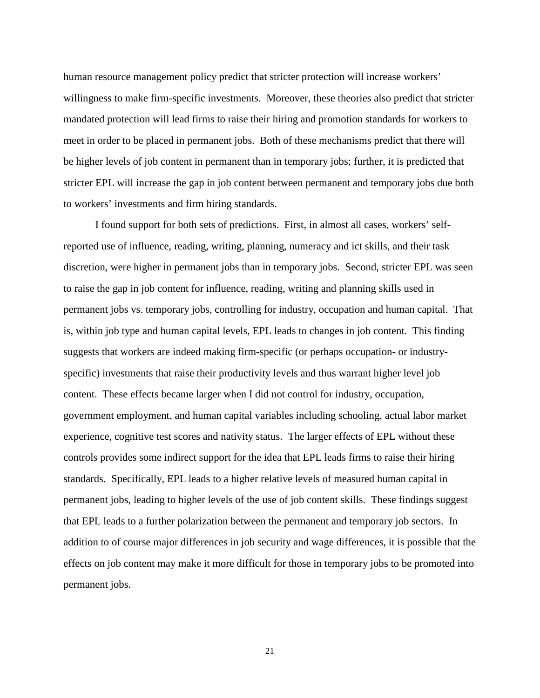human resource management policy predict that stricter protection will increase workers' willingness to make firm-specific investments. Moreover, these theories also predict that stricter mandated protection will lead firms to raise their hiring and promotion standards for workers to meet in order to be placed in permanent jobs. Both of these mechanisms predict that there will be higher levels of job content in permanent than in temporary jobs; further, it is predicted that stricter EPL will increase the gap in job content between permanent and temporary jobs due both to workers' investments and firm hiring standards.

I found support for both sets of predictions. First, in almost all cases, workers' selfreported use of influence, reading, writing, planning, numeracy and ict skills, and their task discretion, were higher in permanent jobs than in temporary jobs. Second, stricter EPL was seen to raise the gap in job content for influence, reading, writing and planning skills used in permanent jobs vs. temporary jobs, controlling for industry, occupation and human capital. That is, within job type and human capital levels, EPL leads to changes in job content. This finding suggests that workers are indeed making firm-specific (or perhaps occupation- or industryspecific) investments that raise their productivity levels and thus warrant higher level job content. These effects became larger when I did not control for industry, occupation, government employment, and human capital variables including schooling, actual labor market experience, cognitive test scores and nativity status. The larger effects of EPL without these controls provides some indirect support for the idea that EPL leads firms to raise their hiring standards. Specifically, EPL leads to a higher relative levels of measured human capital in permanent jobs, leading to higher levels of the use of job content skills. These findings suggest that EPL leads to a further polarization between the permanent and temporary job sectors. In addition to of course major differences in job security and wage differences, it is possible that the effects on job content may make it more difficult for those in temporary jobs to be promoted into permanent jobs.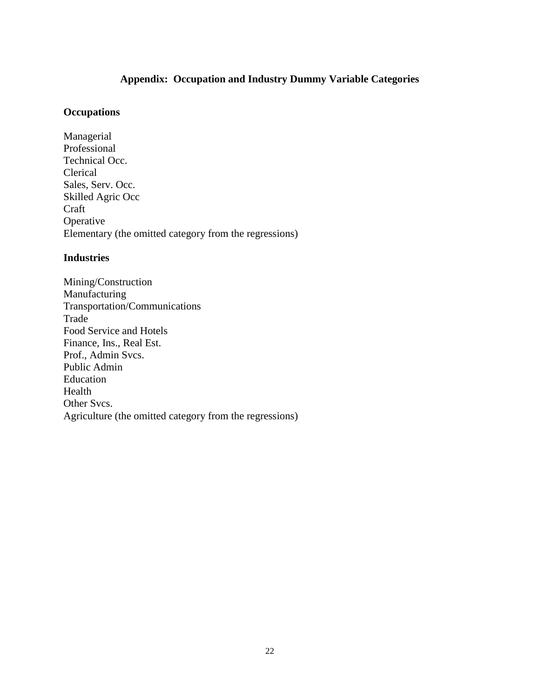## **Appendix: Occupation and Industry Dummy Variable Categories**

### **Occupations**

Managerial Professional Technical Occ. Clerical Sales, Serv. Occ. Skilled Agric Occ Craft Operative Elementary (the omitted category from the regressions)

### **Industries**

Mining/Construction Manufacturing Transportation/Communications Trade Food Service and Hotels Finance, Ins., Real Est. Prof., Admin Svcs. Public Admin Education Health Other Svcs. Agriculture (the omitted category from the regressions)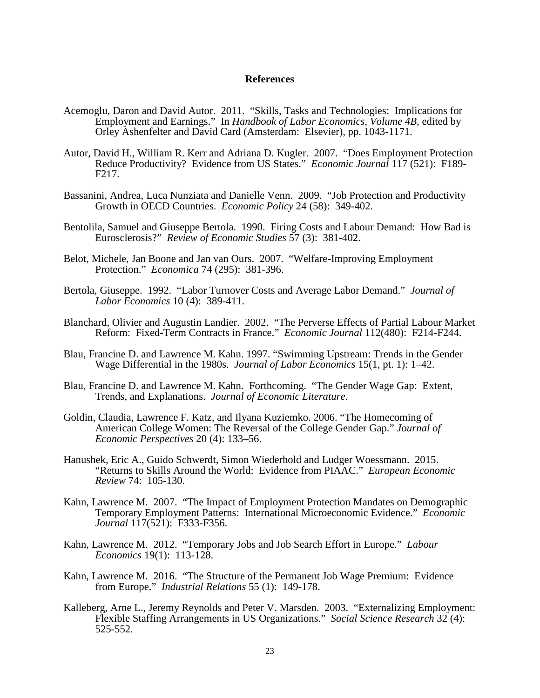#### **References**

- Acemoglu, Daron and David Autor. 2011. "Skills, Tasks and Technologies: Implications for Employment and Earnings." In *Handbook of Labor Economics, Volume 4B*, edited by Orley Ashenfelter and David Card (Amsterdam: Elsevier), pp. 1043-1171.
- Autor, David H., William R. Kerr and Adriana D. Kugler. 2007. "Does Employment Protection Reduce Productivity? Evidence from US States." *Economic Journal* 117 (521): F189- F217.
- Bassanini, Andrea, Luca Nunziata and Danielle Venn. 2009. "Job Protection and Productivity Growth in OECD Countries. *Economic Policy* 24 (58): 349-402.
- Bentolila, Samuel and Giuseppe Bertola. 1990. Firing Costs and Labour Demand: How Bad is Eurosclerosis?" *Review of Economic Studies* 57 (3): 381-402.
- Belot, Michele, Jan Boone and Jan van Ours. 2007. "Welfare-Improving Employment Protection." *Economica* 74 (295): 381-396.
- Bertola, Giuseppe. 1992. "Labor Turnover Costs and Average Labor Demand." *Journal of Labor Economics* 10 (4): 389-411.
- Blanchard, Olivier and Augustin Landier. 2002. "The Perverse Effects of Partial Labour Market Reform: Fixed-Term Contracts in France." *Economic Journal* 112(480): F214-F244.
- Blau, Francine D. and Lawrence M. Kahn. 1997. "Swimming Upstream: Trends in the Gender Wage Differential in the 1980s. *Journal of Labor Economics* 15(1, pt. 1): 1–42.
- Blau, Francine D. and Lawrence M. Kahn. Forthcoming. "The Gender Wage Gap: Extent, Trends, and Explanations. *Journal of Economic Literature*.
- Goldin, Claudia, Lawrence F. Katz, and Ilyana Kuziemko. 2006. "The Homecoming of American College Women: The Reversal of the College Gender Gap." *Journal of Economic Perspectives* 20 (4): 133–56.
- Hanushek, Eric A., Guido Schwerdt, Simon Wiederhold and Ludger Woessmann. 2015. "Returns to Skills Around the World: Evidence from PIAAC." *European Economic Review* 74: 105-130.
- Kahn, Lawrence M. 2007. "The Impact of Employment Protection Mandates on Demographic Temporary Employment Patterns: International Microeconomic Evidence." *Economic Journal* 117(521): F333-F356.
- Kahn, Lawrence M. 2012. "Temporary Jobs and Job Search Effort in Europe." *Labour Economics* 19(1): 113-128.
- Kahn, Lawrence M. 2016. "The Structure of the Permanent Job Wage Premium: Evidence from Europe." *Industrial Relations* 55 (1): 149-178.
- Kalleberg, Arne L., Jeremy Reynolds and Peter V. Marsden. 2003. "Externalizing Employment: Flexible Staffing Arrangements in US Organizations." *Social Science Research* 32 (4): 525-552.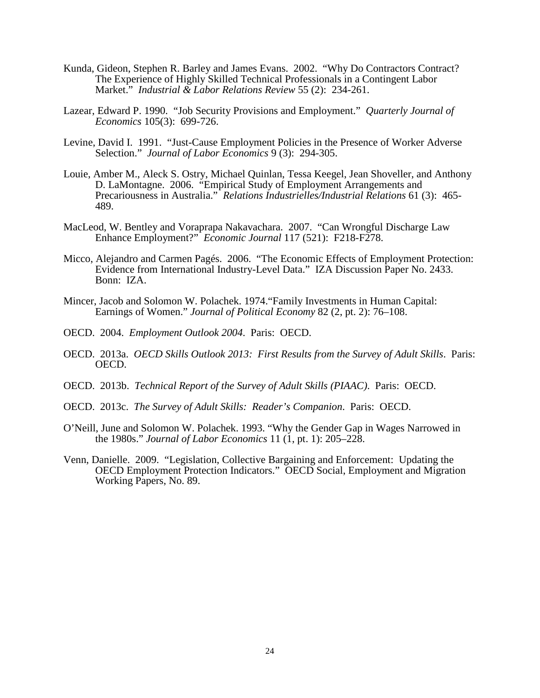- Kunda, Gideon, Stephen R. Barley and James Evans. 2002. "Why Do Contractors Contract? The Experience of Highly Skilled Technical Professionals in a Contingent Labor Market." *Industrial & Labor Relations Review* 55 (2): 234-261.
- Lazear, Edward P. 1990. "Job Security Provisions and Employment." *Quarterly Journal of Economics* 105(3): 699-726.
- Levine, David I. 1991. "Just-Cause Employment Policies in the Presence of Worker Adverse Selection." *Journal of Labor Economics* 9 (3): 294-305.
- Louie, Amber M., Aleck S. Ostry, Michael Quinlan, Tessa Keegel, Jean Shoveller, and Anthony D. LaMontagne. 2006. "Empirical Study of Employment Arrangements and Precariousness in Australia." *Relations Industrielles/Industrial Relations* 61 (3): 465- 489.
- MacLeod, W. Bentley and Voraprapa Nakavachara. 2007. "Can Wrongful Discharge Law Enhance Employment?" *Economic Journal* 117 (521): F218-F278.
- Micco, Alejandro and Carmen Pagés. 2006. "The Economic Effects of Employment Protection: Evidence from International Industry-Level Data." IZA Discussion Paper No. 2433. Bonn: IZA.
- Mincer, Jacob and Solomon W. Polachek. 1974."Family Investments in Human Capital: Earnings of Women." *Journal of Political Economy* 82 (2, pt. 2): 76–108.
- OECD. 2004. *Employment Outlook 2004*. Paris: OECD.
- OECD. 2013a. *OECD Skills Outlook 2013: First Results from the Survey of Adult Skills*. Paris: OECD.
- OECD. 2013b. *Technical Report of the Survey of Adult Skills (PIAAC)*. Paris: OECD.
- OECD. 2013c. *The Survey of Adult Skills: Reader's Companion*. Paris: OECD.
- O'Neill, June and Solomon W. Polachek. 1993. "Why the Gender Gap in Wages Narrowed in the 1980s." *Journal of Labor Economics* 11 (1, pt. 1): 205–228.
- Venn, Danielle. 2009. "Legislation, Collective Bargaining and Enforcement: Updating the OECD Employment Protection Indicators." OECD Social, Employment and Migration Working Papers, No. 89.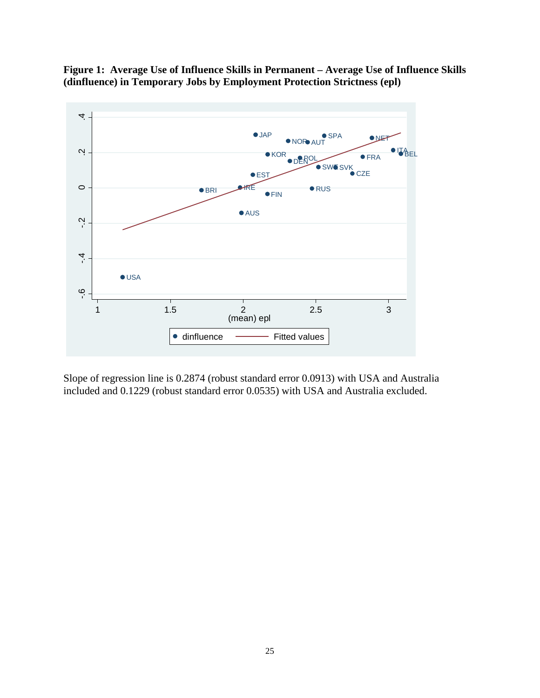

**Figure 1: Average Use of Influence Skills in Permanent – Average Use of Influence Skills (dinfluence) in Temporary Jobs by Employment Protection Strictness (epl)**

Slope of regression line is 0.2874 (robust standard error 0.0913) with USA and Australia included and 0.1229 (robust standard error 0.0535) with USA and Australia excluded.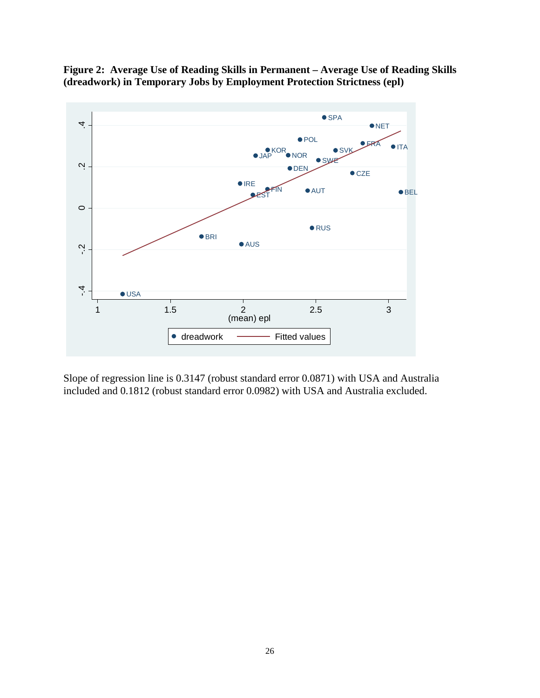

**Figure 2: Average Use of Reading Skills in Permanent – Average Use of Reading Skills (dreadwork) in Temporary Jobs by Employment Protection Strictness (epl)**

Slope of regression line is 0.3147 (robust standard error 0.0871) with USA and Australia included and 0.1812 (robust standard error 0.0982) with USA and Australia excluded.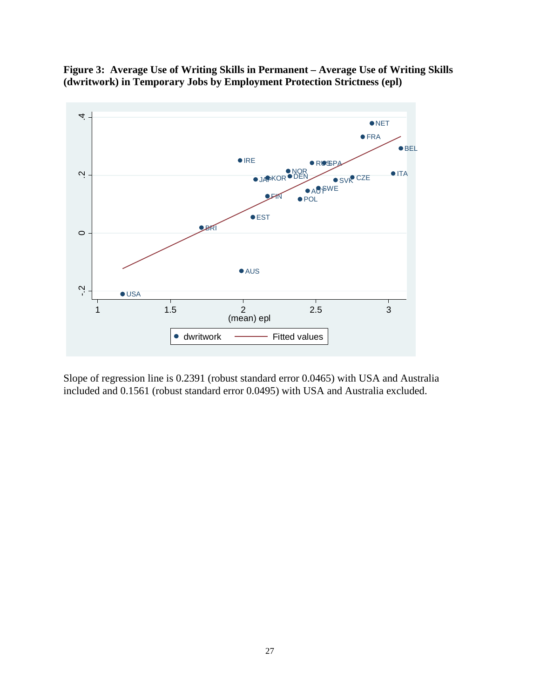**Figure 3: Average Use of Writing Skills in Permanent – Average Use of Writing Skills (dwritwork) in Temporary Jobs by Employment Protection Strictness (epl)**



Slope of regression line is 0.2391 (robust standard error 0.0465) with USA and Australia included and 0.1561 (robust standard error 0.0495) with USA and Australia excluded.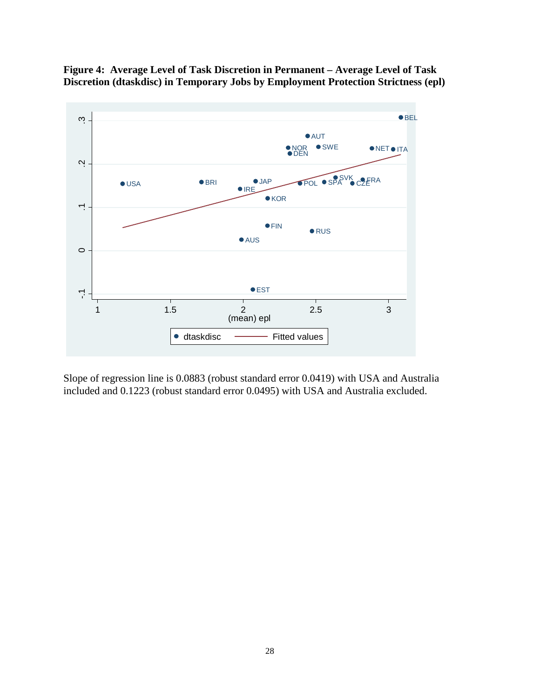

**Figure 4: Average Level of Task Discretion in Permanent – Average Level of Task Discretion (dtaskdisc) in Temporary Jobs by Employment Protection Strictness (epl)**

Slope of regression line is 0.0883 (robust standard error 0.0419) with USA and Australia included and 0.1223 (robust standard error 0.0495) with USA and Australia excluded.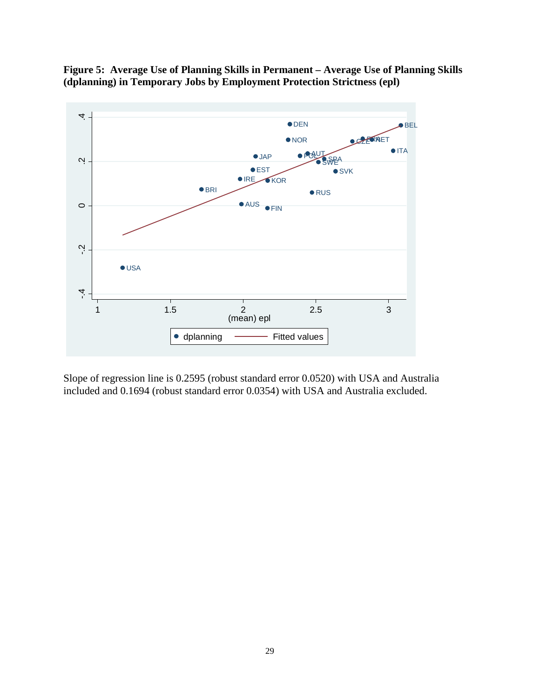

**Figure 5: Average Use of Planning Skills in Permanent – Average Use of Planning Skills (dplanning) in Temporary Jobs by Employment Protection Strictness (epl)**

Slope of regression line is 0.2595 (robust standard error 0.0520) with USA and Australia included and 0.1694 (robust standard error 0.0354) with USA and Australia excluded.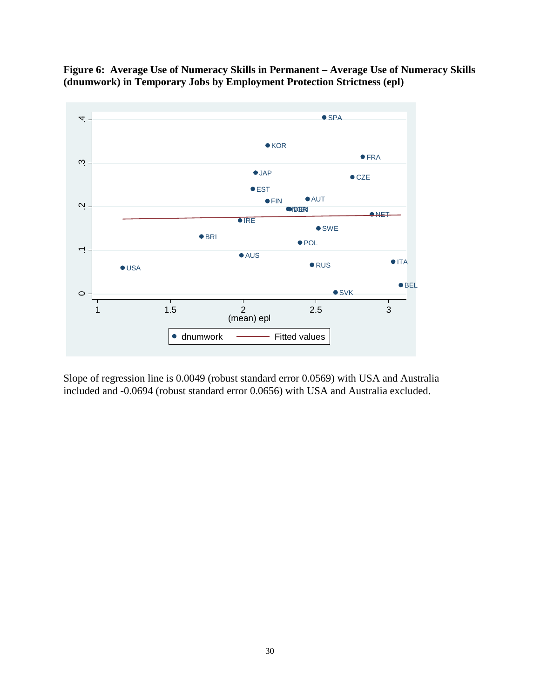



Slope of regression line is 0.0049 (robust standard error 0.0569) with USA and Australia included and -0.0694 (robust standard error 0.0656) with USA and Australia excluded.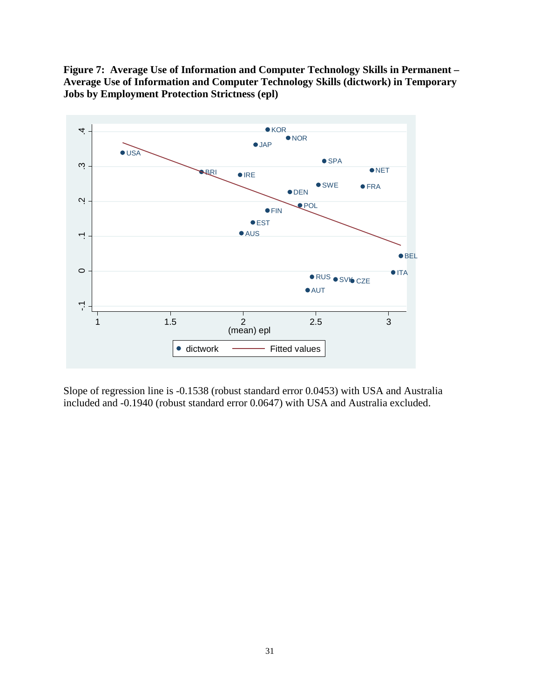**Figure 7: Average Use of Information and Computer Technology Skills in Permanent – Average Use of Information and Computer Technology Skills (dictwork) in Temporary Jobs by Employment Protection Strictness (epl)**



Slope of regression line is -0.1538 (robust standard error 0.0453) with USA and Australia included and -0.1940 (robust standard error 0.0647) with USA and Australia excluded.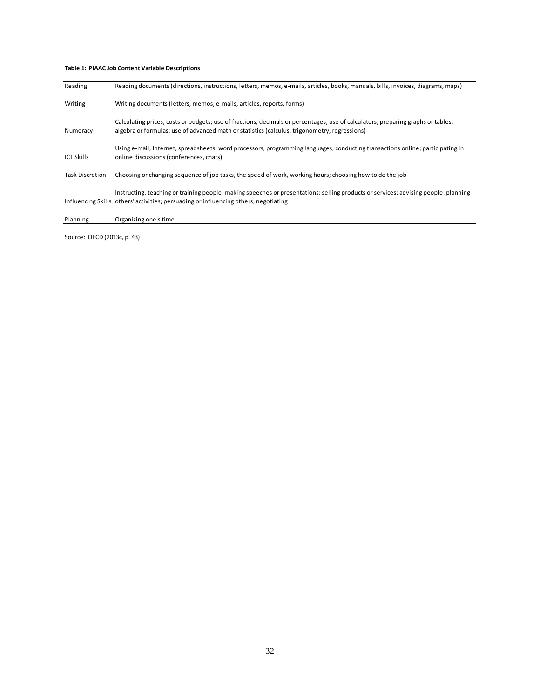#### **Table 1: PIAAC Job Content Variable Descriptions**

| Reading                | Reading documents (directions, instructions, letters, memos, e-mails, articles, books, manuals, bills, invoices, diagrams, maps)                                                                                                  |
|------------------------|-----------------------------------------------------------------------------------------------------------------------------------------------------------------------------------------------------------------------------------|
| Writing                | Writing documents (letters, memos, e-mails, articles, reports, forms)                                                                                                                                                             |
| Numeracy               | Calculating prices, costs or budgets; use of fractions, decimals or percentages; use of calculators; preparing graphs or tables;<br>algebra or formulas; use of advanced math or statistics (calculus, trigonometry, regressions) |
| <b>ICT Skills</b>      | Using e-mail, Internet, spreadsheets, word processors, programming languages; conducting transactions online; participating in<br>online discussions (conferences, chats)                                                         |
| <b>Task Discretion</b> | Choosing or changing sequence of job tasks, the speed of work, working hours; choosing how to do the job                                                                                                                          |
|                        | Instructing, teaching or training people; making speeches or presentations; selling products or services; advising people; planning<br>Influencing Skills others' activities; persuading or influencing others; negotiating       |
| Planning               | Organizing one's time                                                                                                                                                                                                             |

Source: OECD (2013c, p. 43)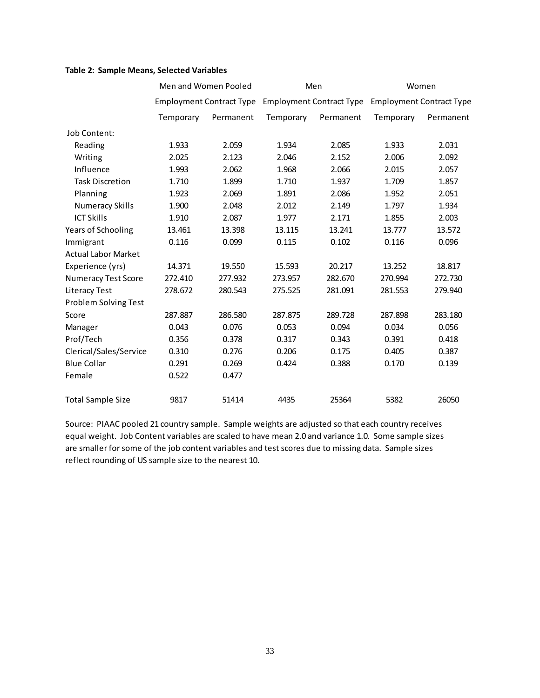#### **Table 2: Sample Means, Selected Variables**

|                            |           | Men and Women Pooled            |           | Men                                               | Women     |           |  |
|----------------------------|-----------|---------------------------------|-----------|---------------------------------------------------|-----------|-----------|--|
|                            |           | <b>Employment Contract Type</b> |           | Employment Contract Type Employment Contract Type |           |           |  |
|                            | Temporary | Permanent                       | Temporary | Permanent                                         | Temporary | Permanent |  |
| Job Content:               |           |                                 |           |                                                   |           |           |  |
| Reading                    | 1.933     | 2.059                           | 1.934     | 2.085                                             | 1.933     | 2.031     |  |
| Writing                    | 2.025     | 2.123                           | 2.046     | 2.152                                             | 2.006     | 2.092     |  |
| Influence                  | 1.993     | 2.062                           | 1.968     | 2.066                                             | 2.015     | 2.057     |  |
| <b>Task Discretion</b>     | 1.710     | 1.899                           | 1.710     | 1.937                                             | 1.709     | 1.857     |  |
| Planning                   | 1.923     | 2.069                           | 1.891     | 2.086                                             | 1.952     | 2.051     |  |
| <b>Numeracy Skills</b>     | 1.900     | 2.048                           | 2.012     | 2.149                                             | 1.797     | 1.934     |  |
| <b>ICT Skills</b>          | 1.910     | 2.087                           | 1.977     | 2.171                                             | 1.855     | 2.003     |  |
| Years of Schooling         | 13.461    | 13.398                          | 13.115    | 13.241                                            | 13.777    | 13.572    |  |
| Immigrant                  | 0.116     | 0.099                           | 0.115     | 0.102                                             | 0.116     | 0.096     |  |
| <b>Actual Labor Market</b> |           |                                 |           |                                                   |           |           |  |
| Experience (yrs)           | 14.371    | 19.550                          | 15.593    | 20.217                                            | 13.252    | 18.817    |  |
| <b>Numeracy Test Score</b> | 272.410   | 277.932                         | 273.957   | 282.670                                           | 270.994   | 272.730   |  |
| <b>Literacy Test</b>       | 278.672   | 280.543                         | 275.525   | 281.091                                           | 281.553   | 279.940   |  |
| Problem Solving Test       |           |                                 |           |                                                   |           |           |  |
| Score                      | 287.887   | 286.580                         | 287.875   | 289.728                                           | 287.898   | 283.180   |  |
| Manager                    | 0.043     | 0.076                           | 0.053     | 0.094                                             | 0.034     | 0.056     |  |
| Prof/Tech                  | 0.356     | 0.378                           | 0.317     | 0.343                                             | 0.391     | 0.418     |  |
| Clerical/Sales/Service     | 0.310     | 0.276                           | 0.206     | 0.175                                             | 0.405     | 0.387     |  |
| <b>Blue Collar</b>         | 0.291     | 0.269                           | 0.424     | 0.388                                             | 0.170     | 0.139     |  |
| Female                     | 0.522     | 0.477                           |           |                                                   |           |           |  |
| <b>Total Sample Size</b>   | 9817      | 51414                           | 4435      | 25364                                             | 5382      | 26050     |  |

Source: PIAAC pooled 21 country sample. Sample weights are adjusted so that each country receives equal weight. Job Content variables are scaled to have mean 2.0 and variance 1.0. Some sample sizes are smaller for some of the job content variables and test scores due to missing data. Sample sizes reflect rounding of US sample size to the nearest 10.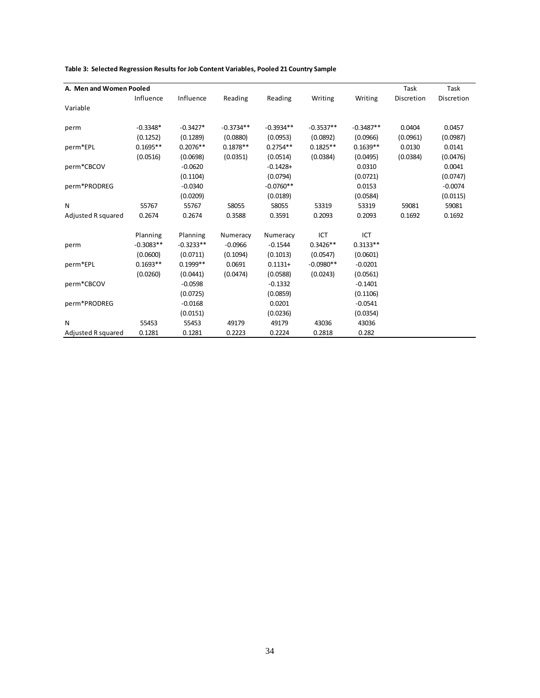| A. Men and Women Pooled |             |             |             |             |             |             | Task       | Task       |
|-------------------------|-------------|-------------|-------------|-------------|-------------|-------------|------------|------------|
|                         | Influence   | Influence   | Reading     | Reading     | Writing     | Writing     | Discretion | Discretion |
| Variable                |             |             |             |             |             |             |            |            |
|                         |             |             |             |             |             |             |            |            |
| perm                    | $-0.3348*$  | $-0.3427*$  | $-0.3734**$ | $-0.3934**$ | $-0.3537**$ | $-0.3487**$ | 0.0404     | 0.0457     |
|                         | (0.1252)    | (0.1289)    | (0.0880)    | (0.0953)    | (0.0892)    | (0.0966)    | (0.0961)   | (0.0987)   |
| perm*EPL                | $0.1695**$  | $0.2076**$  | $0.1878**$  | $0.2754**$  | $0.1825**$  | $0.1639**$  | 0.0130     | 0.0141     |
|                         | (0.0516)    | (0.0698)    | (0.0351)    | (0.0514)    | (0.0384)    | (0.0495)    | (0.0384)   | (0.0476)   |
| perm*CBCOV              |             | $-0.0620$   |             | $-0.1428 +$ |             | 0.0310      |            | 0.0041     |
|                         |             | (0.1104)    |             | (0.0794)    |             | (0.0721)    |            | (0.0747)   |
| perm*PRODREG            |             | $-0.0340$   |             | $-0.0760**$ |             | 0.0153      |            | $-0.0074$  |
|                         |             | (0.0209)    |             | (0.0189)    |             | (0.0584)    |            | (0.0115)   |
| N                       | 55767       | 55767       | 58055       | 58055       | 53319       | 53319       | 59081      | 59081      |
| Adjusted R squared      | 0.2674      | 0.2674      | 0.3588      | 0.3591      | 0.2093      | 0.2093      | 0.1692     | 0.1692     |
|                         | Planning    | Planning    | Numeracy    | Numeracy    | ICT         | ICT         |            |            |
| perm                    | $-0.3083**$ | $-0.3233**$ | $-0.0966$   | $-0.1544$   | $0.3426**$  | $0.3133**$  |            |            |
|                         | (0.0600)    | (0.0711)    | (0.1094)    | (0.1013)    | (0.0547)    | (0.0601)    |            |            |
| perm*EPL                | $0.1693**$  | $0.1999**$  | 0.0691      | $0.1131 +$  | $-0.0980**$ | $-0.0201$   |            |            |
|                         | (0.0260)    | (0.0441)    | (0.0474)    | (0.0588)    | (0.0243)    | (0.0561)    |            |            |
| perm*CBCOV              |             | $-0.0598$   |             | $-0.1332$   |             | $-0.1401$   |            |            |
|                         |             | (0.0725)    |             | (0.0859)    |             | (0.1106)    |            |            |
| perm*PRODREG            |             | $-0.0168$   |             | 0.0201      |             | $-0.0541$   |            |            |
|                         |             | (0.0151)    |             | (0.0236)    |             | (0.0354)    |            |            |
| N                       | 55453       | 55453       | 49179       | 49179       | 43036       | 43036       |            |            |
| Adjusted R squared      | 0.1281      | 0.1281      | 0.2223      | 0.2224      | 0.2818      | 0.282       |            |            |

**Table 3: Selected Regression Results for Job Content Variables, Pooled 21 Country Sample**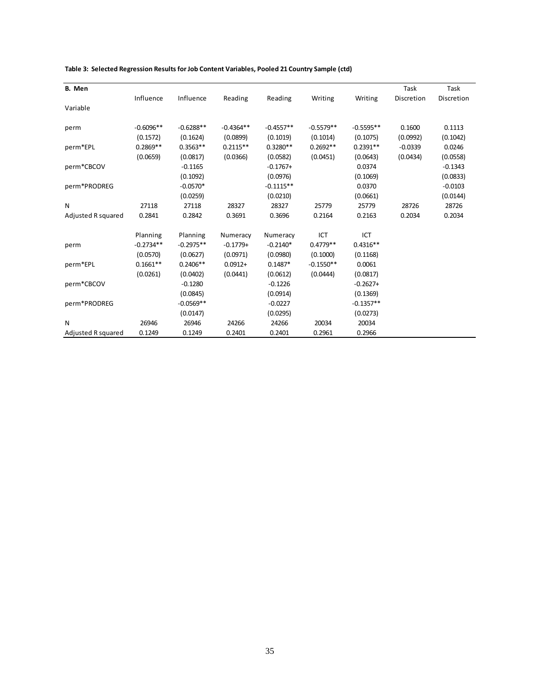| B. Men             |             |             |             |             |             |             | Task       | Task       |
|--------------------|-------------|-------------|-------------|-------------|-------------|-------------|------------|------------|
|                    | Influence   | Influence   | Reading     | Reading     | Writing     | Writing     | Discretion | Discretion |
| Variable           |             |             |             |             |             |             |            |            |
| perm               | $-0.6096**$ | $-0.6288**$ | $-0.4364**$ | $-0.4557**$ | $-0.5579**$ | $-0.5595**$ | 0.1600     | 0.1113     |
|                    | (0.1572)    | (0.1624)    | (0.0899)    | (0.1019)    | (0.1014)    | (0.1075)    | (0.0992)   | (0.1042)   |
| perm*EPL           | $0.2869**$  | $0.3563**$  | $0.2115**$  | $0.3280**$  | $0.2692**$  | $0.2391**$  | $-0.0339$  | 0.0246     |
|                    | (0.0659)    | (0.0817)    | (0.0366)    | (0.0582)    | (0.0451)    | (0.0643)    | (0.0434)   | (0.0558)   |
| perm*CBCOV         |             | $-0.1165$   |             | $-0.1767+$  |             | 0.0374      |            | $-0.1343$  |
|                    |             | (0.1092)    |             | (0.0976)    |             | (0.1069)    |            | (0.0833)   |
| perm*PRODREG       |             | $-0.0570*$  |             | $-0.1115**$ |             | 0.0370      |            | $-0.0103$  |
|                    |             | (0.0259)    |             | (0.0210)    |             | (0.0661)    |            | (0.0144)   |
| N                  | 27118       | 27118       | 28327       | 28327       | 25779       | 25779       | 28726      | 28726      |
| Adjusted R squared | 0.2841      | 0.2842      | 0.3691      | 0.3696      | 0.2164      | 0.2163      | 0.2034     | 0.2034     |
|                    | Planning    | Planning    | Numeracy    | Numeracy    | ICT         | ICT         |            |            |
| perm               | $-0.2734**$ | $-0.2975**$ | $-0.1779+$  | $-0.2140*$  | $0.4779**$  | $0.4316**$  |            |            |
|                    | (0.0570)    | (0.0627)    | (0.0971)    | (0.0980)    | (0.1000)    | (0.1168)    |            |            |
| perm*EPL           | $0.1661**$  | $0.2406**$  | $0.0912 +$  | $0.1487*$   | $-0.1550**$ | 0.0061      |            |            |
|                    | (0.0261)    | (0.0402)    | (0.0441)    | (0.0612)    | (0.0444)    | (0.0817)    |            |            |
| perm*CBCOV         |             | $-0.1280$   |             | $-0.1226$   |             | $-0.2627+$  |            |            |
|                    |             | (0.0845)    |             | (0.0914)    |             | (0.1369)    |            |            |
| perm*PRODREG       |             | $-0.0569**$ |             | $-0.0227$   |             | $-0.1357**$ |            |            |
|                    |             | (0.0147)    |             | (0.0295)    |             | (0.0273)    |            |            |
| N                  | 26946       | 26946       | 24266       | 24266       | 20034       | 20034       |            |            |
| Adjusted R squared | 0.1249      | 0.1249      | 0.2401      | 0.2401      | 0.2961      | 0.2966      |            |            |

#### **Table 3: Selected Regression Results for Job Content Variables, Pooled 21 Country Sample (ctd)**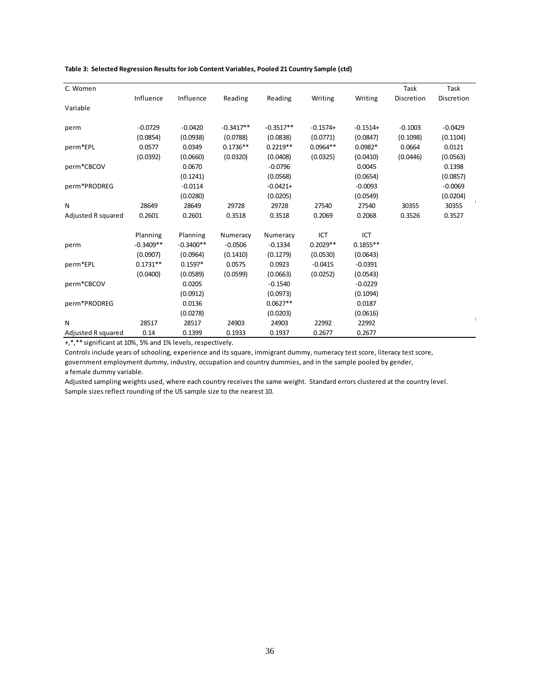| C. Women           |             |             |             |             |            |            | Task       | Task       |
|--------------------|-------------|-------------|-------------|-------------|------------|------------|------------|------------|
|                    | Influence   | Influence   | Reading     | Reading     | Writing    | Writing    | Discretion | Discretion |
| Variable           |             |             |             |             |            |            |            |            |
|                    |             |             |             |             |            |            |            |            |
| perm               | $-0.0729$   | $-0.0420$   | $-0.3417**$ | $-0.3517**$ | $-0.1574+$ | $-0.1514+$ | $-0.1003$  | $-0.0429$  |
|                    | (0.0854)    | (0.0938)    | (0.0788)    | (0.0838)    | (0.0771)   | (0.0847)   | (0.1098)   | (0.1104)   |
| perm*EPL           | 0.0577      | 0.0349      | $0.1736**$  | $0.2219**$  | $0.0964**$ | $0.0982*$  | 0.0664     | 0.0121     |
|                    | (0.0392)    | (0.0660)    | (0.0320)    | (0.0408)    | (0.0325)   | (0.0410)   | (0.0446)   | (0.0563)   |
| perm*CBCOV         |             | 0.0670      |             | $-0.0796$   |            | 0.0045     |            | 0.1398     |
|                    |             | (0.1241)    |             | (0.0568)    |            | (0.0654)   |            | (0.0857)   |
| perm*PRODREG       |             | $-0.0114$   |             | $-0.0421+$  |            | $-0.0093$  |            | $-0.0069$  |
|                    |             | (0.0280)    |             | (0.0205)    |            | (0.0549)   |            | (0.0204)   |
| N                  | 28649       | 28649       | 29728       | 29728       | 27540      | 27540      | 30355      | 30355      |
| Adjusted R squared | 0.2601      | 0.2601      | 0.3518      | 0.3518      | 0.2069     | 0.2068     | 0.3526     | 0.3527     |
|                    | Planning    | Planning    | Numeracy    | Numeracy    | ICT        | ICT        |            |            |
| perm               | $-0.3409**$ | $-0.3400**$ | $-0.0506$   | $-0.1334$   | $0.2029**$ | $0.1855**$ |            |            |
|                    | (0.0907)    | (0.0964)    | (0.1410)    | (0.1279)    | (0.0530)   | (0.0643)   |            |            |
| perm*EPL           | $0.1731**$  | $0.1597*$   | 0.0575      | 0.0923      | $-0.0415$  | $-0.0391$  |            |            |
|                    | (0.0400)    | (0.0589)    | (0.0599)    | (0.0663)    | (0.0252)   | (0.0543)   |            |            |
| perm*CBCOV         |             | 0.0205      |             | $-0.1540$   |            | $-0.0229$  |            |            |
|                    |             | (0.0912)    |             | (0.0973)    |            | (0.1094)   |            |            |
| perm*PRODREG       |             | 0.0136      |             | $0.0627**$  |            | 0.0187     |            |            |
|                    |             | (0.0278)    |             | (0.0203)    |            | (0.0616)   |            |            |
| N                  | 28517       | 28517       | 24903       | 24903       | 22992      | 22992      |            |            |
| Adjusted R squared | 0.14        | 0.1399      | 0.1933      | 0.1937      | 0.2677     | 0.2677     |            |            |

#### **Table 3: Selected Regression Results for Job Content Variables, Pooled 21 Country Sample (ctd)**

+,\*,\*\* significant at 10%, 5% and 1% levels, respectively.

Controls include years of schooling, experience and its square, immigrant dummy, numeracy test score, literacy test score,

government employment dummy, industry, occupation and country dummies, and in the sample pooled by gender, a female dummy variable.

Adjusted sampling weights used, where each country receives the same weight. Standard errors clustered at the country level. Sample sizes reflect rounding of the US sample size to the nearest 10.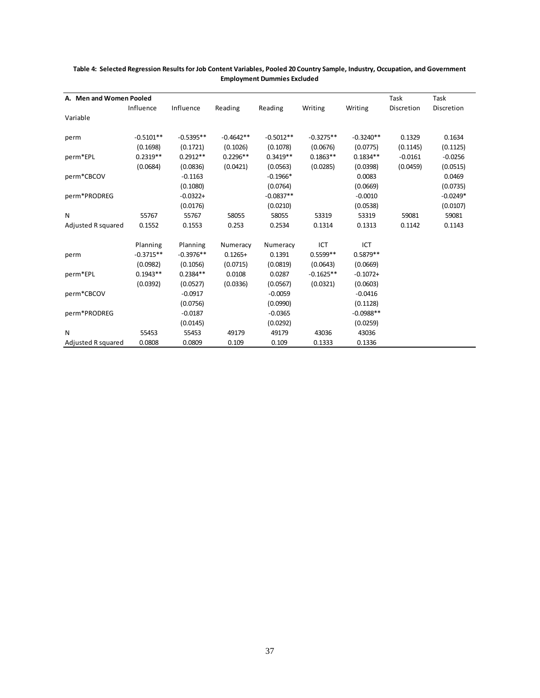| A. Men and Women Pooled |             |             |             |             |             |             | Task       | Task       |
|-------------------------|-------------|-------------|-------------|-------------|-------------|-------------|------------|------------|
|                         |             |             |             |             |             |             |            |            |
|                         | Influence   | Influence   | Reading     | Reading     | Writing     | Writing     | Discretion | Discretion |
| Variable                |             |             |             |             |             |             |            |            |
|                         |             |             |             |             |             |             |            |            |
| perm                    | $-0.5101**$ | $-0.5395**$ | $-0.4642**$ | $-0.5012**$ | $-0.3275**$ | $-0.3240**$ | 0.1329     | 0.1634     |
|                         | (0.1698)    | (0.1721)    | (0.1026)    | (0.1078)    | (0.0676)    | (0.0775)    | (0.1145)   | (0.1125)   |
| perm*EPL                | $0.2319**$  | $0.2912**$  | $0.2296**$  | $0.3419**$  | $0.1863**$  | $0.1834**$  | $-0.0161$  | $-0.0256$  |
|                         | (0.0684)    | (0.0836)    | (0.0421)    | (0.0563)    | (0.0285)    | (0.0398)    | (0.0459)   | (0.0515)   |
| perm*CBCOV              |             | $-0.1163$   |             | $-0.1966*$  |             | 0.0083      |            | 0.0469     |
|                         |             | (0.1080)    |             | (0.0764)    |             | (0.0669)    |            | (0.0735)   |
| perm*PRODREG            |             | $-0.0322+$  |             | $-0.0837**$ |             | $-0.0010$   |            | $-0.0249*$ |
|                         |             | (0.0176)    |             | (0.0210)    |             | (0.0538)    |            | (0.0107)   |
| N                       | 55767       | 55767       | 58055       | 58055       | 53319       | 53319       | 59081      | 59081      |
| Adjusted R squared      | 0.1552      | 0.1553      | 0.253       | 0.2534      | 0.1314      | 0.1313      | 0.1142     | 0.1143     |
|                         | Planning    | Planning    | Numeracy    | Numeracy    | ICT         | ICT         |            |            |
| perm                    | $-0.3715**$ | $-0.3976**$ | $0.1265+$   | 0.1391      | $0.5599**$  | $0.5879**$  |            |            |
|                         | (0.0982)    | (0.1056)    | (0.0715)    | (0.0819)    | (0.0643)    | (0.0669)    |            |            |
| perm*EPL                | $0.1943**$  | $0.2384**$  | 0.0108      | 0.0287      | $-0.1625**$ | $-0.1072+$  |            |            |
|                         | (0.0392)    | (0.0527)    | (0.0336)    | (0.0567)    | (0.0321)    | (0.0603)    |            |            |
| perm*CBCOV              |             | $-0.0917$   |             | $-0.0059$   |             | $-0.0416$   |            |            |
|                         |             | (0.0756)    |             | (0.0990)    |             | (0.1128)    |            |            |
| perm*PRODREG            |             | $-0.0187$   |             | $-0.0365$   |             | $-0.0988**$ |            |            |
|                         |             | (0.0145)    |             | (0.0292)    |             | (0.0259)    |            |            |
| N                       | 55453       | 55453       | 49179       | 49179       | 43036       | 43036       |            |            |
| Adjusted R squared      | 0.0808      | 0.0809      | 0.109       | 0.109       | 0.1333      | 0.1336      |            |            |

#### **Table 4: Selected Regression Results for Job Content Variables, Pooled 20 Country Sample, Industry, Occupation, and Government Employment Dummies Excluded**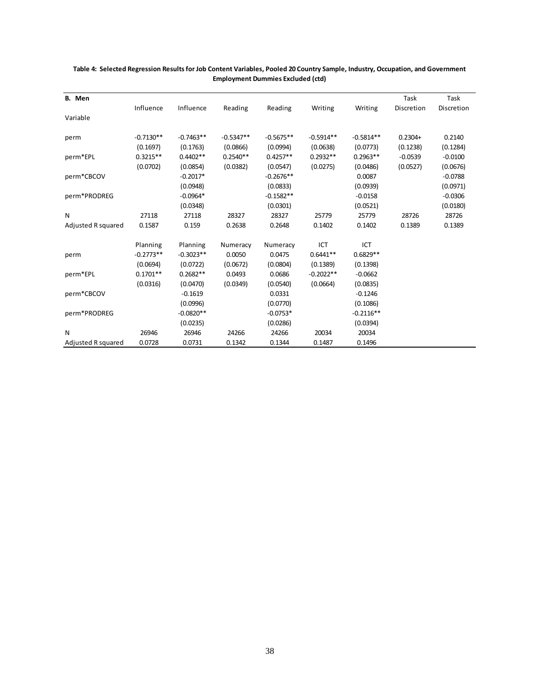| B. Men             |             |             |             |             |             |             | Task       | Task       |
|--------------------|-------------|-------------|-------------|-------------|-------------|-------------|------------|------------|
|                    | Influence   | Influence   | Reading     | Reading     | Writing     | Writing     | Discretion | Discretion |
| Variable           |             |             |             |             |             |             |            |            |
|                    |             |             |             |             |             |             |            |            |
| perm               | $-0.7130**$ | $-0.7463**$ | $-0.5347**$ | $-0.5675**$ | $-0.5914**$ | $-0.5814**$ | $0.2304+$  | 0.2140     |
|                    | (0.1697)    | (0.1763)    | (0.0866)    | (0.0994)    | (0.0638)    | (0.0773)    | (0.1238)   | (0.1284)   |
| perm*EPL           | $0.3215**$  | $0.4402**$  | $0.2540**$  | $0.4257**$  | $0.2932**$  | $0.2963**$  | $-0.0539$  | $-0.0100$  |
|                    | (0.0702)    | (0.0854)    | (0.0382)    | (0.0547)    | (0.0275)    | (0.0486)    | (0.0527)   | (0.0676)   |
| perm*CBCOV         |             | $-0.2017*$  |             | $-0.2676**$ |             | 0.0087      |            | $-0.0788$  |
|                    |             | (0.0948)    |             | (0.0833)    |             | (0.0939)    |            | (0.0971)   |
| perm*PRODREG       |             | $-0.0964*$  |             | $-0.1582**$ |             | $-0.0158$   |            | $-0.0306$  |
|                    |             | (0.0348)    |             | (0.0301)    |             | (0.0521)    |            | (0.0180)   |
| N                  | 27118       | 27118       | 28327       | 28327       | 25779       | 25779       | 28726      | 28726      |
| Adjusted R squared | 0.1587      | 0.159       | 0.2638      | 0.2648      | 0.1402      | 0.1402      | 0.1389     | 0.1389     |
|                    | Planning    | Planning    | Numeracy    | Numeracy    | ICT         | ICT         |            |            |
| perm               | $-0.2773**$ | $-0.3023**$ | 0.0050      | 0.0475      | $0.6441**$  | $0.6829**$  |            |            |
|                    | (0.0694)    | (0.0722)    | (0.0672)    | (0.0804)    | (0.1389)    | (0.1398)    |            |            |
| perm*EPL           | $0.1701**$  | $0.2682**$  | 0.0493      | 0.0686      | $-0.2022**$ | $-0.0662$   |            |            |
|                    | (0.0316)    | (0.0470)    | (0.0349)    | (0.0540)    | (0.0664)    | (0.0835)    |            |            |
| perm*CBCOV         |             | $-0.1619$   |             | 0.0331      |             | $-0.1246$   |            |            |
|                    |             | (0.0996)    |             | (0.0770)    |             | (0.1086)    |            |            |
| perm*PRODREG       |             | $-0.0820**$ |             | $-0.0753*$  |             | $-0.2116**$ |            |            |
|                    |             | (0.0235)    |             | (0.0286)    |             | (0.0394)    |            |            |
| N                  | 26946       | 26946       | 24266       | 24266       | 20034       | 20034       |            |            |
| Adjusted R squared | 0.0728      | 0.0731      | 0.1342      | 0.1344      | 0.1487      | 0.1496      |            |            |

#### **Table 4: Selected Regression Results for Job Content Variables, Pooled 20 Country Sample, Industry, Occupation, and Government Employment Dummies Excluded (ctd)**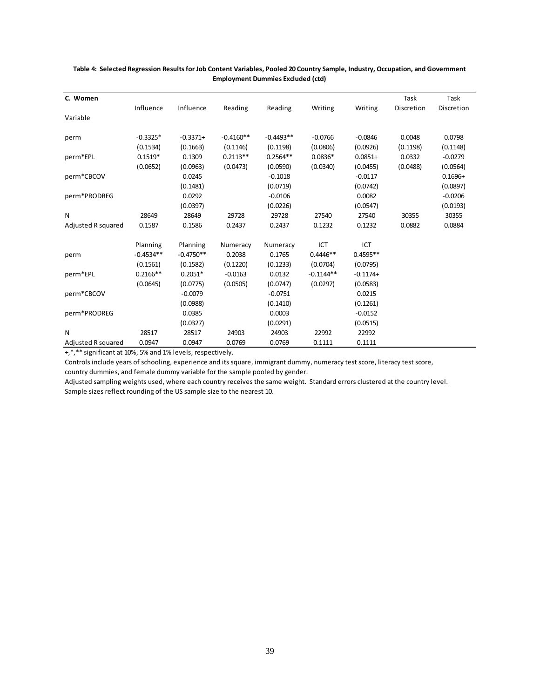| C. Women           |             |             |             |             |             |            | Task       | Task       |
|--------------------|-------------|-------------|-------------|-------------|-------------|------------|------------|------------|
|                    | Influence   | Influence   | Reading     | Reading     | Writing     | Writing    | Discretion | Discretion |
| Variable           |             |             |             |             |             |            |            |            |
|                    |             |             |             |             |             |            |            |            |
| perm               | $-0.3325*$  | $-0.3371+$  | $-0.4160**$ | $-0.4493**$ | $-0.0766$   | $-0.0846$  | 0.0048     | 0.0798     |
|                    | (0.1534)    | (0.1663)    | (0.1146)    | (0.1198)    | (0.0806)    | (0.0926)   | (0.1198)   | (0.1148)   |
| perm*EPL           | $0.1519*$   | 0.1309      | $0.2113**$  | $0.2564**$  | $0.0836*$   | $0.0851+$  | 0.0332     | $-0.0279$  |
|                    | (0.0652)    | (0.0963)    | (0.0473)    | (0.0590)    | (0.0340)    | (0.0455)   | (0.0488)   | (0.0564)   |
| perm*CBCOV         |             | 0.0245      |             | $-0.1018$   |             | $-0.0117$  |            | $0.1696+$  |
|                    |             | (0.1481)    |             | (0.0719)    |             | (0.0742)   |            | (0.0897)   |
| perm*PRODREG       |             | 0.0292      |             | $-0.0106$   |             | 0.0082     |            | $-0.0206$  |
|                    |             | (0.0397)    |             | (0.0226)    |             | (0.0547)   |            | (0.0193)   |
| N                  | 28649       | 28649       | 29728       | 29728       | 27540       | 27540      | 30355      | 30355      |
| Adjusted R squared | 0.1587      | 0.1586      | 0.2437      | 0.2437      | 0.1232      | 0.1232     | 0.0882     | 0.0884     |
|                    | Planning    | Planning    | Numeracy    | Numeracy    | ICT         | ICT        |            |            |
| perm               | $-0.4534**$ | $-0.4750**$ | 0.2038      | 0.1765      | $0.4446**$  | $0.4595**$ |            |            |
|                    | (0.1561)    | (0.1582)    | (0.1220)    | (0.1233)    | (0.0704)    | (0.0795)   |            |            |
| perm*EPL           | $0.2166**$  | $0.2051*$   | $-0.0163$   | 0.0132      | $-0.1144**$ | $-0.1174+$ |            |            |
|                    | (0.0645)    | (0.0775)    | (0.0505)    | (0.0747)    | (0.0297)    | (0.0583)   |            |            |
| perm*CBCOV         |             | $-0.0079$   |             | $-0.0751$   |             | 0.0215     |            |            |
|                    |             | (0.0988)    |             | (0.1410)    |             | (0.1261)   |            |            |
| perm*PRODREG       |             | 0.0385      |             | 0.0003      |             | $-0.0152$  |            |            |
|                    |             | (0.0327)    |             | (0.0291)    |             | (0.0515)   |            |            |
| N                  | 28517       | 28517       | 24903       | 24903       | 22992       | 22992      |            |            |
| Adjusted R squared | 0.0947      | 0.0947      | 0.0769      | 0.0769      | 0.1111      | 0.1111     |            |            |

#### **Table 4: Selected Regression Results for Job Content Variables, Pooled 20 Country Sample, Industry, Occupation, and Government Employment Dummies Excluded (ctd)**

+,\*,\*\* significant at 10%, 5% and 1% levels, respectively.

Controls include years of schooling, experience and its square, immigrant dummy, numeracy test score, literacy test score, country dummies, and female dummy variable for the sample pooled by gender.

Adjusted sampling weights used, where each country receives the same weight. Standard errors clustered at the country level. Sample sizes reflect rounding of the US sample size to the nearest 10.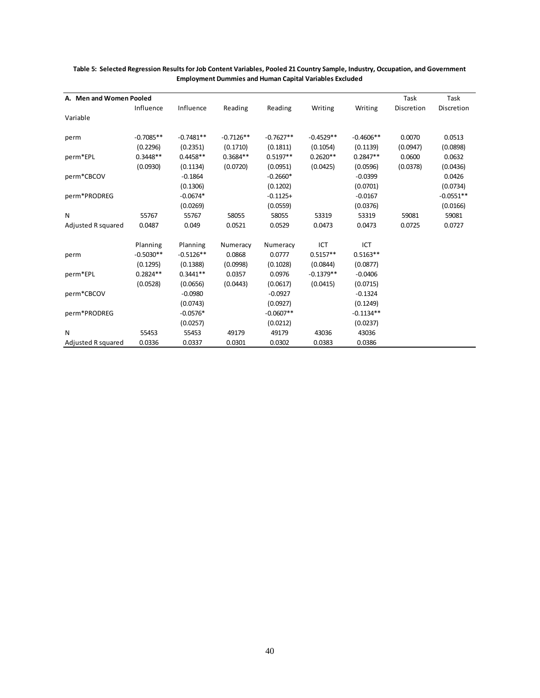| A. Men and Women Pooled |             |             |             |             |             |             | Task       | Task        |
|-------------------------|-------------|-------------|-------------|-------------|-------------|-------------|------------|-------------|
|                         | Influence   | Influence   | Reading     | Reading     | Writing     | Writing     | Discretion | Discretion  |
| Variable                |             |             |             |             |             |             |            |             |
|                         |             |             |             |             |             |             |            |             |
| perm                    | $-0.7085**$ | $-0.7481**$ | $-0.7126**$ | $-0.7627**$ | $-0.4529**$ | $-0.4606**$ | 0.0070     | 0.0513      |
|                         | (0.2296)    | (0.2351)    | (0.1710)    | (0.1811)    | (0.1054)    | (0.1139)    | (0.0947)   | (0.0898)    |
| perm*EPL                | $0.3448**$  | $0.4458**$  | $0.3684**$  | $0.5197**$  | $0.2620**$  | $0.2847**$  | 0.0600     | 0.0632      |
|                         | (0.0930)    | (0.1134)    | (0.0720)    | (0.0951)    | (0.0425)    | (0.0596)    | (0.0378)   | (0.0436)    |
| perm*CBCOV              |             | $-0.1864$   |             | $-0.2660*$  |             | $-0.0399$   |            | 0.0426      |
|                         |             | (0.1306)    |             | (0.1202)    |             | (0.0701)    |            | (0.0734)    |
| perm*PRODREG            |             | $-0.0674*$  |             | $-0.1125+$  |             | $-0.0167$   |            | $-0.0551**$ |
|                         |             | (0.0269)    |             | (0.0559)    |             | (0.0376)    |            | (0.0166)    |
| N                       | 55767       | 55767       | 58055       | 58055       | 53319       | 53319       | 59081      | 59081       |
| Adjusted R squared      | 0.0487      | 0.049       | 0.0521      | 0.0529      | 0.0473      | 0.0473      | 0.0725     | 0.0727      |
|                         | Planning    | Planning    | Numeracy    | Numeracy    | ICT         | ICT         |            |             |
| perm                    | $-0.5030**$ | $-0.5126**$ | 0.0868      | 0.0777      | $0.5157**$  | $0.5163**$  |            |             |
|                         | (0.1295)    | (0.1388)    | (0.0998)    | (0.1028)    | (0.0844)    | (0.0877)    |            |             |
| perm*EPL                | $0.2824**$  | $0.3441**$  | 0.0357      | 0.0976      | $-0.1379**$ | $-0.0406$   |            |             |
|                         | (0.0528)    | (0.0656)    | (0.0443)    | (0.0617)    | (0.0415)    | (0.0715)    |            |             |
| perm*CBCOV              |             | $-0.0980$   |             | $-0.0927$   |             | $-0.1324$   |            |             |
|                         |             | (0.0743)    |             | (0.0927)    |             | (0.1249)    |            |             |
| perm*PRODREG            |             | $-0.0576*$  |             | $-0.0607**$ |             | $-0.1134**$ |            |             |
|                         |             | (0.0257)    |             | (0.0212)    |             | (0.0237)    |            |             |
| N                       | 55453       | 55453       | 49179       | 49179       | 43036       | 43036       |            |             |
| Adjusted R squared      | 0.0336      | 0.0337      | 0.0301      | 0.0302      | 0.0383      | 0.0386      |            |             |

#### **Table 5: Selected Regression Results for Job Content Variables, Pooled 21 Country Sample, Industry, Occupation, and Government Employment Dummies and Human Capital Variables Excluded**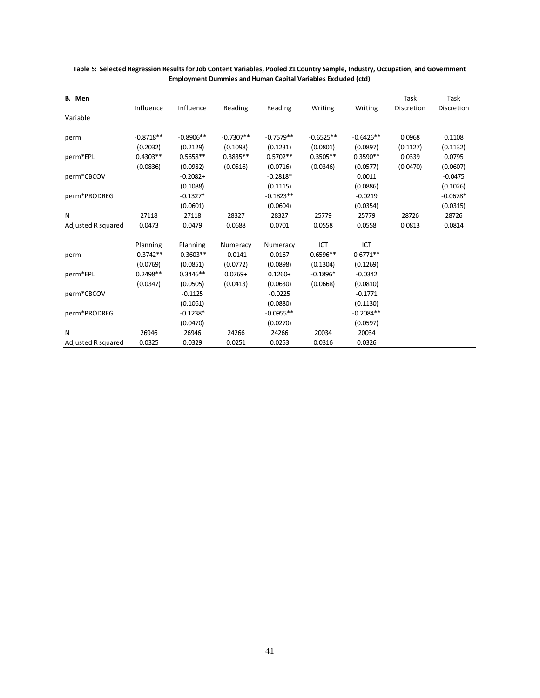| B. Men             |             |             |             |             |             |             | Task       | Task       |
|--------------------|-------------|-------------|-------------|-------------|-------------|-------------|------------|------------|
|                    | Influence   | Influence   | Reading     | Reading     | Writing     | Writing     | Discretion | Discretion |
| Variable           |             |             |             |             |             |             |            |            |
| perm               | $-0.8718**$ | $-0.8906**$ | $-0.7307**$ | $-0.7579**$ | $-0.6525**$ | $-0.6426**$ | 0.0968     | 0.1108     |
|                    | (0.2032)    | (0.2129)    | (0.1098)    | (0.1231)    | (0.0801)    | (0.0897)    | (0.1127)   | (0.1132)   |
| perm*EPL           | $0.4303**$  | $0.5658**$  | $0.3835**$  | $0.5702**$  | $0.3505**$  | $0.3590**$  | 0.0339     | 0.0795     |
|                    | (0.0836)    | (0.0982)    | (0.0516)    | (0.0716)    | (0.0346)    | (0.0577)    | (0.0470)   | (0.0607)   |
| perm*CBCOV         |             | $-0.2082+$  |             | $-0.2818*$  |             | 0.0011      |            | $-0.0475$  |
|                    |             | (0.1088)    |             | (0.1115)    |             | (0.0886)    |            | (0.1026)   |
| perm*PRODREG       |             | $-0.1327*$  |             | $-0.1823**$ |             | $-0.0219$   |            | $-0.0678*$ |
|                    |             | (0.0601)    |             | (0.0604)    |             | (0.0354)    |            | (0.0315)   |
| N                  | 27118       | 27118       | 28327       | 28327       | 25779       | 25779       | 28726      | 28726      |
| Adjusted R squared | 0.0473      | 0.0479      | 0.0688      | 0.0701      | 0.0558      | 0.0558      | 0.0813     | 0.0814     |
|                    | Planning    | Planning    | Numeracy    | Numeracy    | ICT         | ICT         |            |            |
| perm               | $-0.3742**$ | $-0.3603**$ | $-0.0141$   | 0.0167      | $0.6596**$  | $0.6771**$  |            |            |
|                    | (0.0769)    | (0.0851)    | (0.0772)    | (0.0898)    | (0.1304)    | (0.1269)    |            |            |
| perm*EPL           | $0.2498**$  | $0.3446**$  | $0.0769+$   | $0.1260+$   | $-0.1896*$  | $-0.0342$   |            |            |
|                    | (0.0347)    | (0.0505)    | (0.0413)    | (0.0630)    | (0.0668)    | (0.0810)    |            |            |
| perm*CBCOV         |             | $-0.1125$   |             | $-0.0225$   |             | $-0.1771$   |            |            |
|                    |             | (0.1061)    |             | (0.0880)    |             | (0.1130)    |            |            |
| perm*PRODREG       |             | $-0.1238*$  |             | $-0.0955**$ |             | $-0.2084**$ |            |            |
|                    |             | (0.0470)    |             | (0.0270)    |             | (0.0597)    |            |            |
| N                  | 26946       | 26946       | 24266       | 24266       | 20034       | 20034       |            |            |
| Adjusted R squared | 0.0325      | 0.0329      | 0.0251      | 0.0253      | 0.0316      | 0.0326      |            |            |

#### **Table 5: Selected Regression Results for Job Content Variables, Pooled 21 Country Sample, Industry, Occupation, and Government Employment Dummies and Human Capital Variables Excluded (ctd)**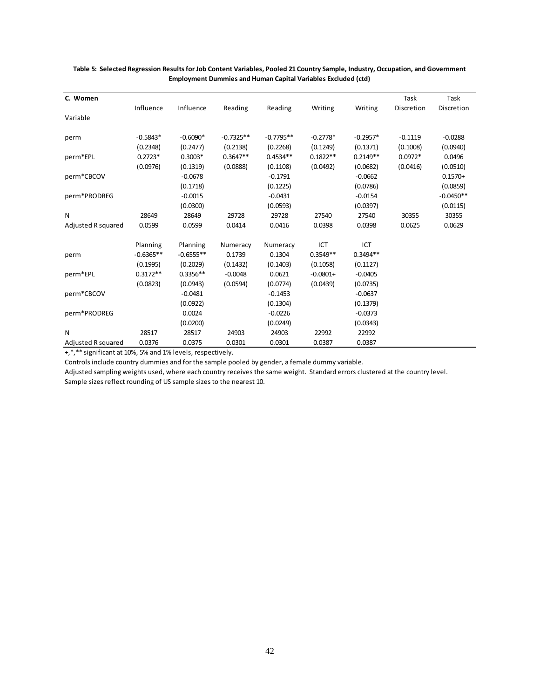| C. Women           |             |             |             |             |            |            | Task       | Task        |
|--------------------|-------------|-------------|-------------|-------------|------------|------------|------------|-------------|
|                    | Influence   | Influence   | Reading     | Reading     | Writing    | Writing    | Discretion | Discretion  |
| Variable           |             |             |             |             |            |            |            |             |
| perm               | $-0.5843*$  | $-0.6090*$  | $-0.7325**$ | $-0.7795**$ | $-0.2778*$ | $-0.2957*$ | $-0.1119$  | $-0.0288$   |
|                    | (0.2348)    | (0.2477)    | (0.2138)    | (0.2268)    | (0.1249)   | (0.1371)   | (0.1008)   | (0.0940)    |
| perm*EPL           | $0.2723*$   | $0.3003*$   | $0.3647**$  | $0.4534**$  | $0.1822**$ | $0.2149**$ | $0.0972*$  | 0.0496      |
|                    | (0.0976)    | (0.1319)    | (0.0888)    | (0.1108)    | (0.0492)   | (0.0682)   | (0.0416)   | (0.0510)    |
| perm*CBCOV         |             | $-0.0678$   |             | $-0.1791$   |            | $-0.0662$  |            | $0.1570+$   |
|                    |             | (0.1718)    |             | (0.1225)    |            | (0.0786)   |            | (0.0859)    |
| perm*PRODREG       |             | $-0.0015$   |             | $-0.0431$   |            | $-0.0154$  |            | $-0.0450**$ |
|                    |             | (0.0300)    |             | (0.0593)    |            | (0.0397)   |            | (0.0115)    |
| N                  | 28649       | 28649       | 29728       | 29728       | 27540      | 27540      | 30355      | 30355       |
| Adjusted R squared | 0.0599      | 0.0599      | 0.0414      | 0.0416      | 0.0398     | 0.0398     | 0.0625     | 0.0629      |
|                    | Planning    | Planning    | Numeracy    | Numeracy    | ICT        | ICT        |            |             |
| perm               | $-0.6365**$ | $-0.6555**$ | 0.1739      | 0.1304      | $0.3549**$ | $0.3494**$ |            |             |
|                    | (0.1995)    | (0.2029)    | (0.1432)    | (0.1403)    | (0.1058)   | (0.1127)   |            |             |
| perm*EPL           | $0.3172**$  | $0.3356**$  | $-0.0048$   | 0.0621      | $-0.0801+$ | $-0.0405$  |            |             |
|                    | (0.0823)    | (0.0943)    | (0.0594)    | (0.0774)    | (0.0439)   | (0.0735)   |            |             |
| perm*CBCOV         |             | $-0.0481$   |             | $-0.1453$   |            | $-0.0637$  |            |             |
|                    |             | (0.0922)    |             | (0.1304)    |            | (0.1379)   |            |             |
| perm*PRODREG       |             | 0.0024      |             | $-0.0226$   |            | $-0.0373$  |            |             |
|                    |             | (0.0200)    |             | (0.0249)    |            | (0.0343)   |            |             |
| N                  | 28517       | 28517       | 24903       | 24903       | 22992      | 22992      |            |             |
| Adjusted R squared | 0.0376      | 0.0375      | 0.0301      | 0.0301      | 0.0387     | 0.0387     |            |             |

#### **Table 5: Selected Regression Results for Job Content Variables, Pooled 21 Country Sample, Industry, Occupation, and Government Employment Dummies and Human Capital Variables Excluded (ctd)**

+,\*,\*\* significant at 10%, 5% and 1% levels, respectively.

Controls include country dummies and for the sample pooled by gender, a female dummy variable.

Adjusted sampling weights used, where each country receives the same weight. Standard errors clustered at the country level.

Sample sizes reflect rounding of US sample sizes to the nearest 10.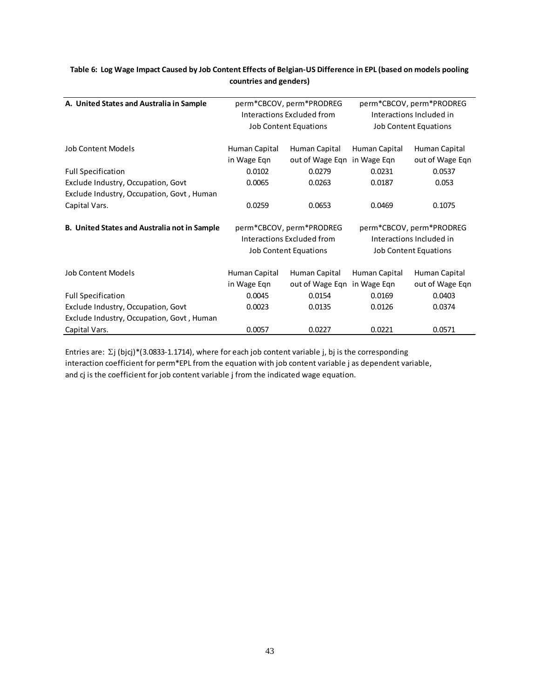| A. United States and Australia in Sample                                        | perm*CBCOV, perm*PRODREG<br>Interactions Excluded from<br><b>Job Content Equations</b> |                                                        | perm*CBCOV, perm*PRODREG<br>Interactions Included in<br><b>Job Content Equations</b> |                                  |  |
|---------------------------------------------------------------------------------|----------------------------------------------------------------------------------------|--------------------------------------------------------|--------------------------------------------------------------------------------------|----------------------------------|--|
| Job Content Models                                                              | Human Capital                                                                          | Human Capital                                          | Human Capital                                                                        | Human Capital                    |  |
|                                                                                 | in Wage Egn                                                                            | out of Wage Eqn in Wage Eqn                            |                                                                                      | out of Wage Eqn                  |  |
| <b>Full Specification</b>                                                       | 0.0102                                                                                 | 0.0279                                                 | 0.0231                                                                               | 0.0537                           |  |
| Exclude Industry, Occupation, Govt<br>Exclude Industry, Occupation, Govt, Human | 0.0065                                                                                 | 0.0263                                                 | 0.0187                                                                               | 0.053                            |  |
| Capital Vars.                                                                   | 0.0259                                                                                 | 0.0653                                                 | 0.0469                                                                               | 0.1075                           |  |
| B. United States and Australia not in Sample                                    |                                                                                        | perm*CBCOV, perm*PRODREG<br>Interactions Excluded from | perm*CBCOV, perm*PRODREG<br>Interactions Included in                                 |                                  |  |
|                                                                                 |                                                                                        | <b>Job Content Equations</b>                           |                                                                                      | <b>Job Content Equations</b>     |  |
| <b>Job Content Models</b>                                                       | Human Capital<br>in Wage Eqn                                                           | Human Capital<br>out of Wage Eqn in Wage Eqn           | Human Capital                                                                        | Human Capital<br>out of Wage Eqn |  |
| <b>Full Specification</b>                                                       | 0.0045                                                                                 | 0.0154                                                 | 0.0169                                                                               | 0.0403                           |  |
| Exclude Industry, Occupation, Govt                                              | 0.0023                                                                                 | 0.0135                                                 | 0.0126                                                                               | 0.0374                           |  |
|                                                                                 |                                                                                        |                                                        |                                                                                      |                                  |  |
| Exclude Industry, Occupation, Govt, Human                                       |                                                                                        |                                                        |                                                                                      |                                  |  |
| Capital Vars.                                                                   | 0.0057                                                                                 | 0.0227                                                 | 0.0221                                                                               | 0.0571                           |  |

#### **Table 6: Log Wage Impact Caused by Job Content Effects of Belgian-US Difference in EPL (based on models pooling countries and genders)**

Entries are: Σj (bjcj)\*(3.0833-1.1714), where for each job content variable j, bj is the corresponding interaction coefficient for perm\*EPL from the equation with job content variable j as dependent variable, and cj is the coefficient for job content variable j from the indicated wage equation.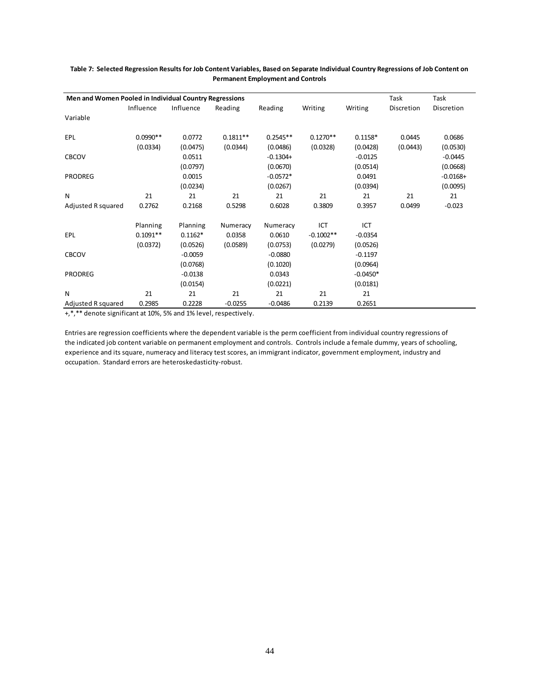| Men and Women Pooled in Individual Country Regressions |            |           |            |            |             |            | Task       | Task       |
|--------------------------------------------------------|------------|-----------|------------|------------|-------------|------------|------------|------------|
|                                                        | Influence  | Influence | Reading    | Reading    | Writing     | Writing    | Discretion | Discretion |
| Variable                                               |            |           |            |            |             |            |            |            |
| EPL                                                    | $0.0990**$ | 0.0772    | $0.1811**$ | $0.2545**$ | $0.1270**$  | $0.1158*$  | 0.0445     | 0.0686     |
|                                                        | (0.0334)   | (0.0475)  | (0.0344)   | (0.0486)   | (0.0328)    | (0.0428)   | (0.0443)   | (0.0530)   |
| <b>CBCOV</b>                                           |            | 0.0511    |            | $-0.1304+$ |             | $-0.0125$  |            | $-0.0445$  |
|                                                        |            | (0.0797)  |            | (0.0670)   |             | (0.0514)   |            | (0.0668)   |
| <b>PRODREG</b>                                         |            | 0.0015    |            | $-0.0572*$ |             | 0.0491     |            | $-0.0168+$ |
|                                                        |            | (0.0234)  |            | (0.0267)   |             | (0.0394)   |            | (0.0095)   |
| N                                                      | 21         | 21        | 21         | 21         | 21          | 21         | 21         | 21         |
| Adjusted R squared                                     | 0.2762     | 0.2168    | 0.5298     | 0.6028     | 0.3809      | 0.3957     | 0.0499     | $-0.023$   |
|                                                        | Planning   | Planning  | Numeracy   | Numeracy   | ICT         | ICT        |            |            |
| <b>EPL</b>                                             | $0.1091**$ | $0.1162*$ | 0.0358     | 0.0610     | $-0.1002**$ | $-0.0354$  |            |            |
|                                                        | (0.0372)   | (0.0526)  | (0.0589)   | (0.0753)   | (0.0279)    | (0.0526)   |            |            |
| <b>CBCOV</b>                                           |            | $-0.0059$ |            | $-0.0880$  |             | $-0.1197$  |            |            |
|                                                        |            | (0.0768)  |            | (0.1020)   |             | (0.0964)   |            |            |
| <b>PRODREG</b>                                         |            | $-0.0138$ |            | 0.0343     |             | $-0.0450*$ |            |            |
|                                                        |            | (0.0154)  |            | (0.0221)   |             | (0.0181)   |            |            |
| N                                                      | 21         | 21        | 21         | 21         | 21          | 21         |            |            |
| Adjusted R squared                                     | 0.2985     | 0.2228    | $-0.0255$  | $-0.0486$  | 0.2139      | 0.2651     |            |            |

#### **Table 7: Selected Regression Results for Job Content Variables, Based on Separate Individual Country Regressions of Job Content on Permanent Employment and Controls**

+,\*,\*\* denote significant at 10%, 5% and 1% level, respectively.

Entries are regression coefficients where the dependent variable is the perm coefficient from individual country regressions of the indicated job content variable on permanent employment and controls. Controls include a female dummy, years of schooling, experience and its square, numeracy and literacy test scores, an immigrant indicator, government employment, industry and occupation. Standard errors are heteroskedasticity-robust.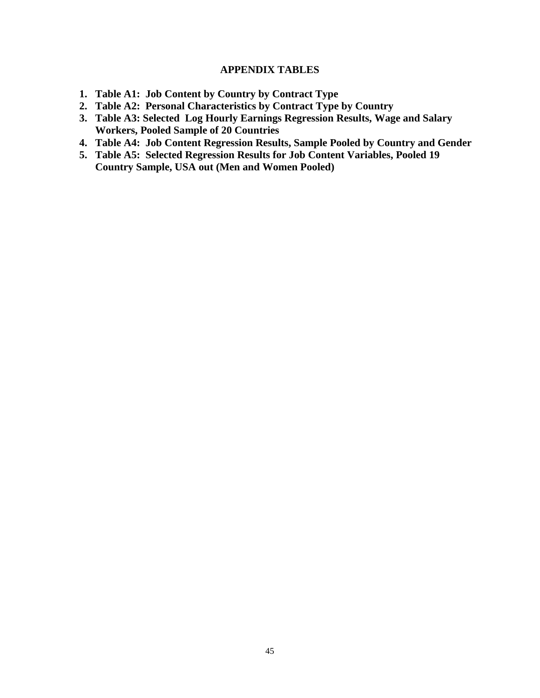### **APPENDIX TABLES**

- **1. Table A1: Job Content by Country by Contract Type**
- **2. Table A2: Personal Characteristics by Contract Type by Country**
- **3. Table A3: Selected Log Hourly Earnings Regression Results, Wage and Salary Workers, Pooled Sample of 20 Countries**
- **4. Table A4: Job Content Regression Results, Sample Pooled by Country and Gender**
- **5. Table A5: Selected Regression Results for Job Content Variables, Pooled 19 Country Sample, USA out (Men and Women Pooled)**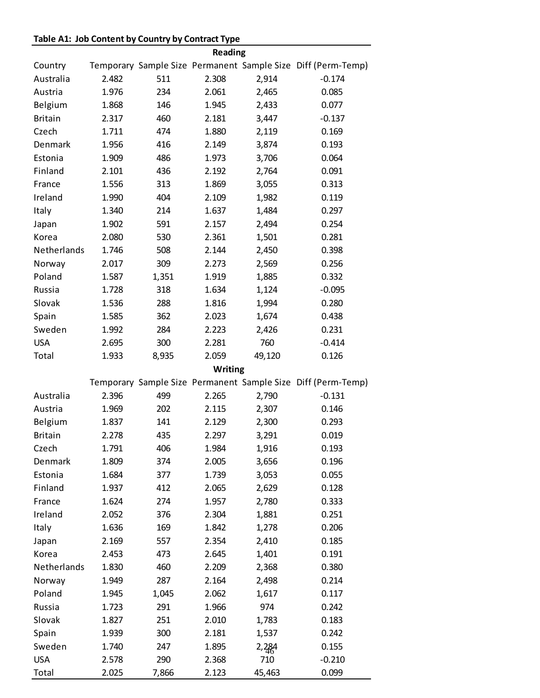## **Table A1: Job Content by Country by Contract Type**

|                |       |       | Reading |        |                                                              |
|----------------|-------|-------|---------|--------|--------------------------------------------------------------|
| Country        |       |       |         |        | Temporary Sample Size Permanent Sample Size Diff (Perm-Temp) |
| Australia      | 2.482 | 511   | 2.308   | 2,914  | $-0.174$                                                     |
| Austria        | 1.976 | 234   | 2.061   | 2,465  | 0.085                                                        |
| Belgium        | 1.868 | 146   | 1.945   | 2,433  | 0.077                                                        |
| <b>Britain</b> | 2.317 | 460   | 2.181   | 3,447  | $-0.137$                                                     |
| Czech          | 1.711 | 474   | 1.880   | 2,119  | 0.169                                                        |
| Denmark        | 1.956 | 416   | 2.149   | 3,874  | 0.193                                                        |
| Estonia        | 1.909 | 486   | 1.973   | 3,706  | 0.064                                                        |
| Finland        | 2.101 | 436   | 2.192   | 2,764  | 0.091                                                        |
| France         | 1.556 | 313   | 1.869   | 3,055  | 0.313                                                        |
| Ireland        | 1.990 | 404   | 2.109   | 1,982  | 0.119                                                        |
| Italy          | 1.340 | 214   | 1.637   | 1,484  | 0.297                                                        |
| Japan          | 1.902 | 591   | 2.157   | 2,494  | 0.254                                                        |
| Korea          | 2.080 | 530   | 2.361   | 1,501  | 0.281                                                        |
| Netherlands    | 1.746 | 508   | 2.144   | 2,450  | 0.398                                                        |
| Norway         | 2.017 | 309   | 2.273   | 2,569  | 0.256                                                        |
| Poland         | 1.587 | 1,351 | 1.919   | 1,885  | 0.332                                                        |
| Russia         | 1.728 | 318   | 1.634   | 1,124  | $-0.095$                                                     |
| Slovak         | 1.536 | 288   | 1.816   | 1,994  | 0.280                                                        |
| Spain          | 1.585 | 362   | 2.023   | 1,674  | 0.438                                                        |
| Sweden         | 1.992 | 284   | 2.223   | 2,426  | 0.231                                                        |
| <b>USA</b>     | 2.695 | 300   | 2.281   | 760    | $-0.414$                                                     |
| Total          | 1.933 | 8,935 | 2.059   | 49,120 | 0.126                                                        |
|                |       |       | Writing |        |                                                              |
|                |       |       |         |        | Temporary Sample Size Permanent Sample Size Diff (Perm-Temp) |
| Australia      | 2.396 | 499   | 2.265   | 2,790  | $-0.131$                                                     |
| Austria        | 1.969 | 202   | 2.115   | 2,307  | 0.146                                                        |
| Belgium        | 1.837 | 141   | 2.129   | 2,300  | 0.293                                                        |
| <b>Britain</b> | 2.278 | 435   | 2.297   | 3,291  | 0.019                                                        |
| Czech          | 1.791 | 406   | 1.984   | 1,916  | 0.193                                                        |
| Denmark        | 1.809 | 374   | 2.005   | 3,656  | 0.196                                                        |
| Estonia        | 1.684 | 377   | 1.739   | 3,053  | 0.055                                                        |
| Finland        | 1.937 | 412   | 2.065   | 2,629  | 0.128                                                        |
| France         | 1.624 | 274   | 1.957   | 2,780  | 0.333                                                        |
| Ireland        | 2.052 | 376   | 2.304   | 1,881  | 0.251                                                        |
| Italy          | 1.636 | 169   | 1.842   | 1,278  | 0.206                                                        |
| Japan          | 2.169 | 557   | 2.354   | 2,410  | 0.185                                                        |
| Korea          | 2.453 | 473   | 2.645   | 1,401  | 0.191                                                        |
| Netherlands    | 1.830 | 460   | 2.209   | 2,368  | 0.380                                                        |
| Norway         | 1.949 | 287   | 2.164   | 2,498  | 0.214                                                        |
| Poland         | 1.945 | 1,045 | 2.062   | 1,617  | 0.117                                                        |
| Russia         | 1.723 | 291   | 1.966   | 974    | 0.242                                                        |
| Slovak         | 1.827 | 251   | 2.010   | 1,783  | 0.183                                                        |
| Spain          | 1.939 | 300   | 2.181   | 1,537  | 0.242                                                        |
| Sweden         | 1.740 | 247   | 1.895   | 2,284  | 0.155                                                        |
| <b>USA</b>     | 2.578 | 290   | 2.368   | 710    | $-0.210$                                                     |
| Total          | 2.025 | 7,866 | 2.123   | 45,463 | 0.099                                                        |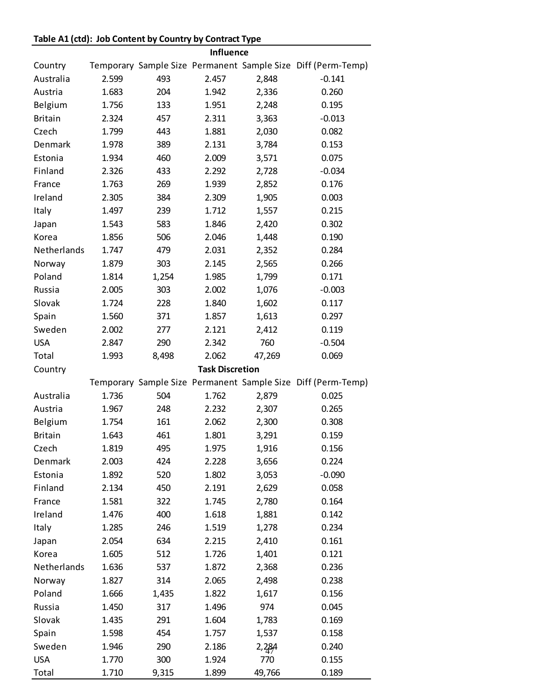## **Table A1 (ctd): Job Content by Country by Contract Type**

|                |       |       | <b>Influence</b>       |        |                                                              |
|----------------|-------|-------|------------------------|--------|--------------------------------------------------------------|
| Country        |       |       |                        |        | Temporary Sample Size Permanent Sample Size Diff (Perm-Temp) |
| Australia      | 2.599 | 493   | 2.457                  | 2,848  | $-0.141$                                                     |
| Austria        | 1.683 | 204   | 1.942                  | 2,336  | 0.260                                                        |
| Belgium        | 1.756 | 133   | 1.951                  | 2,248  | 0.195                                                        |
| <b>Britain</b> | 2.324 | 457   | 2.311                  | 3,363  | $-0.013$                                                     |
| Czech          | 1.799 | 443   | 1.881                  | 2,030  | 0.082                                                        |
| Denmark        | 1.978 | 389   | 2.131                  | 3,784  | 0.153                                                        |
| Estonia        | 1.934 | 460   | 2.009                  | 3,571  | 0.075                                                        |
| Finland        | 2.326 | 433   | 2.292                  | 2,728  | $-0.034$                                                     |
| France         | 1.763 | 269   | 1.939                  | 2,852  | 0.176                                                        |
| Ireland        | 2.305 | 384   | 2.309                  | 1,905  | 0.003                                                        |
| Italy          | 1.497 | 239   | 1.712                  | 1,557  | 0.215                                                        |
| Japan          | 1.543 | 583   | 1.846                  | 2,420  | 0.302                                                        |
| Korea          | 1.856 | 506   | 2.046                  | 1,448  | 0.190                                                        |
| Netherlands    | 1.747 | 479   | 2.031                  | 2,352  | 0.284                                                        |
| Norway         | 1.879 | 303   | 2.145                  | 2,565  | 0.266                                                        |
| Poland         | 1.814 | 1,254 | 1.985                  | 1,799  | 0.171                                                        |
| Russia         | 2.005 | 303   | 2.002                  | 1,076  | $-0.003$                                                     |
| Slovak         | 1.724 | 228   | 1.840                  | 1,602  | 0.117                                                        |
| Spain          | 1.560 | 371   | 1.857                  | 1,613  | 0.297                                                        |
| Sweden         | 2.002 | 277   | 2.121                  | 2,412  | 0.119                                                        |
| <b>USA</b>     | 2.847 | 290   | 2.342                  | 760    | $-0.504$                                                     |
| Total          | 1.993 | 8,498 | 2.062                  | 47,269 | 0.069                                                        |
| Country        |       |       | <b>Task Discretion</b> |        |                                                              |
|                |       |       |                        |        | Temporary Sample Size Permanent Sample Size Diff (Perm-Temp) |
| Australia      | 1.736 | 504   | 1.762                  | 2,879  | 0.025                                                        |
| Austria        | 1.967 | 248   | 2.232                  | 2,307  | 0.265                                                        |
| Belgium        | 1.754 | 161   | 2.062                  | 2,300  | 0.308                                                        |
| <b>Britain</b> | 1.643 | 461   | 1.801                  | 3,291  | 0.159                                                        |
| Czech          | 1.819 | 495   | 1.975                  | 1,916  | 0.156                                                        |
| Denmark        | 2.003 | 424   | 2.228                  | 3,656  | 0.224                                                        |
| Estonia        | 1.892 | 520   | 1.802                  | 3,053  | $-0.090$                                                     |
| Finland        | 2.134 | 450   | 2.191                  | 2,629  | 0.058                                                        |
| France         | 1.581 | 322   | 1.745                  | 2,780  | 0.164                                                        |
| Ireland        | 1.476 | 400   | 1.618                  | 1,881  | 0.142                                                        |
| Italy          | 1.285 | 246   | 1.519                  | 1,278  | 0.234                                                        |
| Japan          | 2.054 | 634   | 2.215                  | 2,410  | 0.161                                                        |
| Korea          | 1.605 | 512   | 1.726                  | 1,401  | 0.121                                                        |
| Netherlands    | 1.636 | 537   | 1.872                  | 2,368  | 0.236                                                        |
| Norway         | 1.827 | 314   | 2.065                  | 2,498  | 0.238                                                        |
| Poland         | 1.666 | 1,435 | 1.822                  | 1,617  | 0.156                                                        |
| Russia         | 1.450 | 317   | 1.496                  | 974    | 0.045                                                        |
| Slovak         | 1.435 | 291   | 1.604                  | 1,783  | 0.169                                                        |
| Spain          | 1.598 | 454   | 1.757                  | 1,537  | 0.158                                                        |
| Sweden         | 1.946 | 290   | 2.186                  | 2,284  | 0.240                                                        |
| <b>USA</b>     | 1.770 | 300   | 1.924                  | 770    | 0.155                                                        |
|                |       |       |                        |        |                                                              |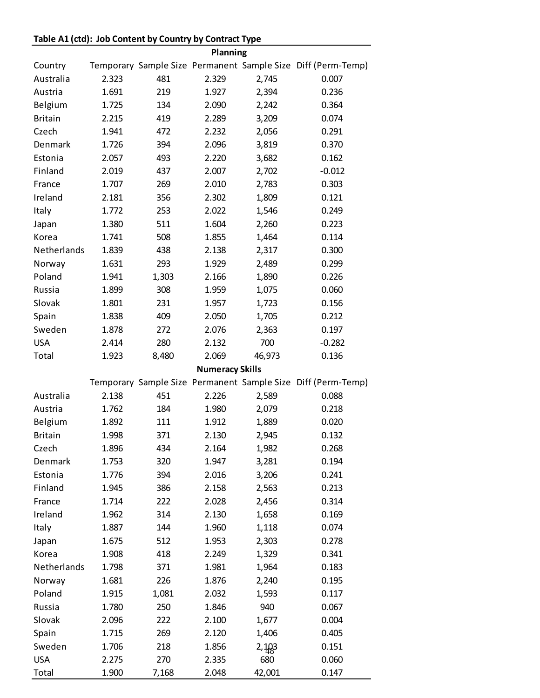## **Table A1 (ctd): Job Content by Country by Contract Type**

|                |       |       | Planning               |        |                                                              |
|----------------|-------|-------|------------------------|--------|--------------------------------------------------------------|
| Country        |       |       |                        |        | Temporary Sample Size Permanent Sample Size Diff (Perm-Temp) |
| Australia      | 2.323 | 481   | 2.329                  | 2,745  | 0.007                                                        |
| Austria        | 1.691 | 219   | 1.927                  | 2,394  | 0.236                                                        |
| Belgium        | 1.725 | 134   | 2.090                  | 2,242  | 0.364                                                        |
| <b>Britain</b> | 2.215 | 419   | 2.289                  | 3,209  | 0.074                                                        |
| Czech          | 1.941 | 472   | 2.232                  | 2,056  | 0.291                                                        |
| Denmark        | 1.726 | 394   | 2.096                  | 3,819  | 0.370                                                        |
| Estonia        | 2.057 | 493   | 2.220                  | 3,682  | 0.162                                                        |
| Finland        | 2.019 | 437   | 2.007                  | 2,702  | $-0.012$                                                     |
| France         | 1.707 | 269   | 2.010                  | 2,783  | 0.303                                                        |
| Ireland        | 2.181 | 356   | 2.302                  | 1,809  | 0.121                                                        |
| Italy          | 1.772 | 253   | 2.022                  | 1,546  | 0.249                                                        |
| Japan          | 1.380 | 511   | 1.604                  | 2,260  | 0.223                                                        |
| Korea          | 1.741 | 508   | 1.855                  | 1,464  | 0.114                                                        |
| Netherlands    | 1.839 | 438   | 2.138                  | 2,317  | 0.300                                                        |
| Norway         | 1.631 | 293   | 1.929                  | 2,489  | 0.299                                                        |
| Poland         | 1.941 | 1,303 | 2.166                  | 1,890  | 0.226                                                        |
| Russia         | 1.899 | 308   | 1.959                  | 1,075  | 0.060                                                        |
| Slovak         | 1.801 | 231   | 1.957                  | 1,723  | 0.156                                                        |
| Spain          | 1.838 | 409   | 2.050                  | 1,705  | 0.212                                                        |
| Sweden         | 1.878 | 272   | 2.076                  | 2,363  | 0.197                                                        |
| <b>USA</b>     | 2.414 | 280   | 2.132                  | 700    | $-0.282$                                                     |
| Total          | 1.923 | 8,480 | 2.069                  | 46,973 | 0.136                                                        |
|                |       |       |                        |        |                                                              |
|                |       |       | <b>Numeracy Skills</b> |        |                                                              |
|                |       |       |                        |        | Temporary Sample Size Permanent Sample Size Diff (Perm-Temp) |
| Australia      | 2.138 | 451   | 2.226                  | 2,589  | 0.088                                                        |
| Austria        | 1.762 | 184   | 1.980                  | 2,079  | 0.218                                                        |
| Belgium        | 1.892 | 111   | 1.912                  | 1,889  | 0.020                                                        |
| <b>Britain</b> | 1.998 | 371   | 2.130                  | 2,945  | 0.132                                                        |
| Czech          | 1.896 | 434   | 2.164                  | 1,982  | 0.268                                                        |
| Denmark        | 1.753 | 320   | 1.947                  | 3,281  | 0.194                                                        |
| Estonia        | 1.776 | 394   | 2.016                  | 3,206  | 0.241                                                        |
| Finland        | 1.945 | 386   | 2.158                  | 2,563  | 0.213                                                        |
| France         | 1.714 | 222   | 2.028                  | 2,456  | 0.314                                                        |
| Ireland        | 1.962 | 314   | 2.130                  | 1,658  | 0.169                                                        |
| Italy          | 1.887 | 144   | 1.960                  | 1,118  | 0.074                                                        |
| Japan          | 1.675 | 512   | 1.953                  | 2,303  | 0.278                                                        |
| Korea          | 1.908 | 418   | 2.249                  | 1,329  | 0.341                                                        |
| Netherlands    | 1.798 | 371   | 1.981                  | 1,964  | 0.183                                                        |
| Norway         | 1.681 | 226   | 1.876                  | 2,240  | 0.195                                                        |
| Poland         | 1.915 | 1,081 | 2.032                  | 1,593  | 0.117                                                        |
| Russia         | 1.780 | 250   | 1.846                  | 940    | 0.067                                                        |
| Slovak         | 2.096 | 222   | 2.100                  | 1,677  | 0.004                                                        |
| Spain          | 1.715 | 269   | 2.120                  | 1,406  | 0.405                                                        |
| Sweden         | 1.706 | 218   | 1.856                  | 2,103  | 0.151                                                        |
| <b>USA</b>     | 2.275 | 270   | 2.335                  | 680    | 0.060                                                        |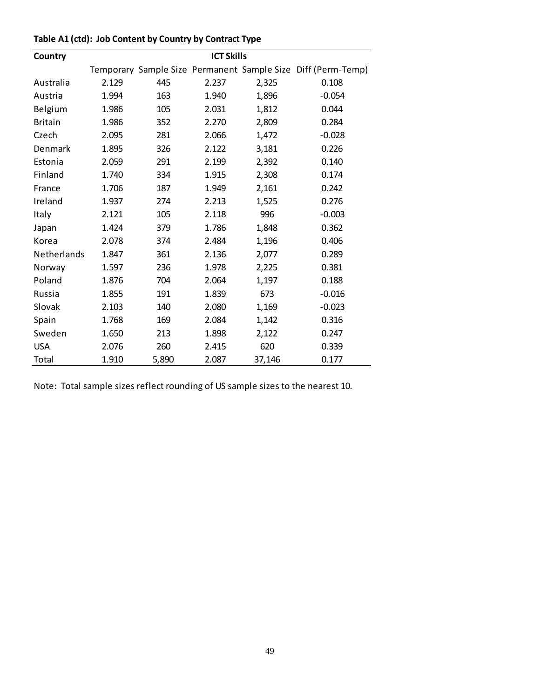| Country        | <b>ICT Skills</b> |       |       |        |                                                              |
|----------------|-------------------|-------|-------|--------|--------------------------------------------------------------|
|                |                   |       |       |        | Temporary Sample Size Permanent Sample Size Diff (Perm-Temp) |
| Australia      | 2.129             | 445   | 2.237 | 2,325  | 0.108                                                        |
| Austria        | 1.994             | 163   | 1.940 | 1,896  | $-0.054$                                                     |
| Belgium        | 1.986             | 105   | 2.031 | 1,812  | 0.044                                                        |
| <b>Britain</b> | 1.986             | 352   | 2.270 | 2,809  | 0.284                                                        |
| Czech          | 2.095             | 281   | 2.066 | 1,472  | $-0.028$                                                     |
| Denmark        | 1.895             | 326   | 2.122 | 3,181  | 0.226                                                        |
| Estonia        | 2.059             | 291   | 2.199 | 2,392  | 0.140                                                        |
| Finland        | 1.740             | 334   | 1.915 | 2,308  | 0.174                                                        |
| France         | 1.706             | 187   | 1.949 | 2,161  | 0.242                                                        |
| Ireland        | 1.937             | 274   | 2.213 | 1,525  | 0.276                                                        |
| Italy          | 2.121             | 105   | 2.118 | 996    | $-0.003$                                                     |
| Japan          | 1.424             | 379   | 1.786 | 1,848  | 0.362                                                        |
| Korea          | 2.078             | 374   | 2.484 | 1,196  | 0.406                                                        |
| Netherlands    | 1.847             | 361   | 2.136 | 2,077  | 0.289                                                        |
| Norway         | 1.597             | 236   | 1.978 | 2,225  | 0.381                                                        |
| Poland         | 1.876             | 704   | 2.064 | 1,197  | 0.188                                                        |
| Russia         | 1.855             | 191   | 1.839 | 673    | $-0.016$                                                     |
| Slovak         | 2.103             | 140   | 2.080 | 1,169  | $-0.023$                                                     |
| Spain          | 1.768             | 169   | 2.084 | 1,142  | 0.316                                                        |
| Sweden         | 1.650             | 213   | 1.898 | 2,122  | 0.247                                                        |
| <b>USA</b>     | 2.076             | 260   | 2.415 | 620    | 0.339                                                        |
| Total          | 1.910             | 5,890 | 2.087 | 37,146 | 0.177                                                        |

## **Table A1 (ctd): Job Content by Country by Contract Type**

Note: Total sample sizes reflect rounding of US sample sizes to the nearest 10.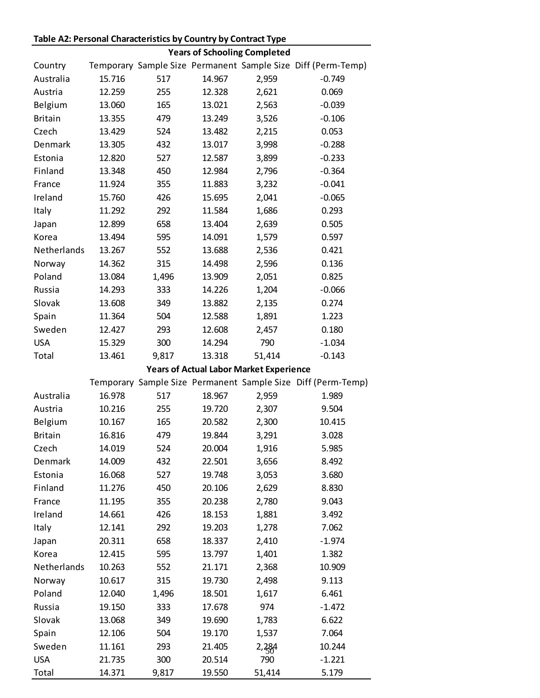## **Table A2: Personal Characteristics by Country by Contract Type**

|                |        |       |        | <b>Years of Schooling Completed</b>            |                                                              |
|----------------|--------|-------|--------|------------------------------------------------|--------------------------------------------------------------|
| Country        |        |       |        |                                                | Temporary Sample Size Permanent Sample Size Diff (Perm-Temp) |
| Australia      | 15.716 | 517   | 14.967 | 2,959                                          | $-0.749$                                                     |
| Austria        | 12.259 | 255   | 12.328 | 2,621                                          | 0.069                                                        |
| Belgium        | 13.060 | 165   | 13.021 | 2,563                                          | $-0.039$                                                     |
| <b>Britain</b> | 13.355 | 479   | 13.249 | 3,526                                          | $-0.106$                                                     |
| Czech          | 13.429 | 524   | 13.482 | 2,215                                          | 0.053                                                        |
| Denmark        | 13.305 | 432   | 13.017 | 3,998                                          | $-0.288$                                                     |
| Estonia        | 12.820 | 527   | 12.587 | 3,899                                          | $-0.233$                                                     |
| Finland        | 13.348 | 450   | 12.984 | 2,796                                          | $-0.364$                                                     |
| France         | 11.924 | 355   | 11.883 | 3,232                                          | $-0.041$                                                     |
| Ireland        | 15.760 | 426   | 15.695 | 2,041                                          | $-0.065$                                                     |
| Italy          | 11.292 | 292   | 11.584 | 1,686                                          | 0.293                                                        |
| Japan          | 12.899 | 658   | 13.404 | 2,639                                          | 0.505                                                        |
| Korea          | 13.494 | 595   | 14.091 | 1,579                                          | 0.597                                                        |
| Netherlands    | 13.267 | 552   | 13.688 | 2,536                                          | 0.421                                                        |
| Norway         | 14.362 | 315   | 14.498 | 2,596                                          | 0.136                                                        |
| Poland         | 13.084 | 1,496 | 13.909 | 2,051                                          | 0.825                                                        |
| Russia         | 14.293 | 333   | 14.226 | 1,204                                          | $-0.066$                                                     |
| Slovak         | 13.608 | 349   | 13.882 | 2,135                                          | 0.274                                                        |
| Spain          | 11.364 | 504   | 12.588 | 1,891                                          | 1.223                                                        |
| Sweden         | 12.427 | 293   | 12.608 | 2,457                                          | 0.180                                                        |
| <b>USA</b>     | 15.329 | 300   | 14.294 | 790                                            | $-1.034$                                                     |
| Total          | 13.461 | 9,817 | 13.318 | 51,414                                         | $-0.143$                                                     |
|                |        |       |        | <b>Years of Actual Labor Market Experience</b> |                                                              |
|                |        |       |        |                                                |                                                              |
|                |        |       |        |                                                | Temporary Sample Size Permanent Sample Size Diff (Perm-Temp) |
| Australia      | 16.978 | 517   | 18.967 | 2,959                                          | 1.989                                                        |
| Austria        | 10.216 | 255   | 19.720 | 2,307                                          | 9.504                                                        |
| Belgium        | 10.167 | 165   | 20.582 | 2,300                                          | 10.415                                                       |
| <b>Britain</b> | 16.816 | 479   | 19.844 | 3,291                                          | 3.028                                                        |
| Czech          | 14.019 | 524   | 20.004 | 1,916                                          | 5.985                                                        |
| Denmark        | 14.009 | 432   | 22.501 | 3,656                                          | 8.492                                                        |
| Estonia        | 16.068 | 527   | 19.748 | 3,053                                          | 3.680                                                        |
| Finland        | 11.276 | 450   | 20.106 | 2,629                                          | 8.830                                                        |
| France         | 11.195 | 355   | 20.238 | 2,780                                          | 9.043                                                        |
| Ireland        | 14.661 | 426   | 18.153 | 1,881                                          | 3.492                                                        |
| Italy          | 12.141 | 292   | 19.203 | 1,278                                          | 7.062                                                        |
| Japan          | 20.311 | 658   | 18.337 | 2,410                                          | $-1.974$                                                     |
| Korea          | 12.415 | 595   | 13.797 | 1,401                                          | 1.382                                                        |
| Netherlands    | 10.263 | 552   | 21.171 | 2,368                                          | 10.909                                                       |
| Norway         | 10.617 | 315   | 19.730 | 2,498                                          | 9.113                                                        |
| Poland         | 12.040 | 1,496 | 18.501 | 1,617                                          | 6.461                                                        |
| Russia         | 19.150 | 333   | 17.678 | 974                                            | $-1.472$                                                     |
| Slovak         | 13.068 | 349   | 19.690 | 1,783                                          | 6.622                                                        |
| Spain          | 12.106 | 504   | 19.170 | 1,537                                          | 7.064                                                        |
| Sweden         | 11.161 | 293   | 21.405 | 2,284                                          | 10.244                                                       |
| <b>USA</b>     | 21.735 | 300   | 20.514 | 790                                            | $-1.221$                                                     |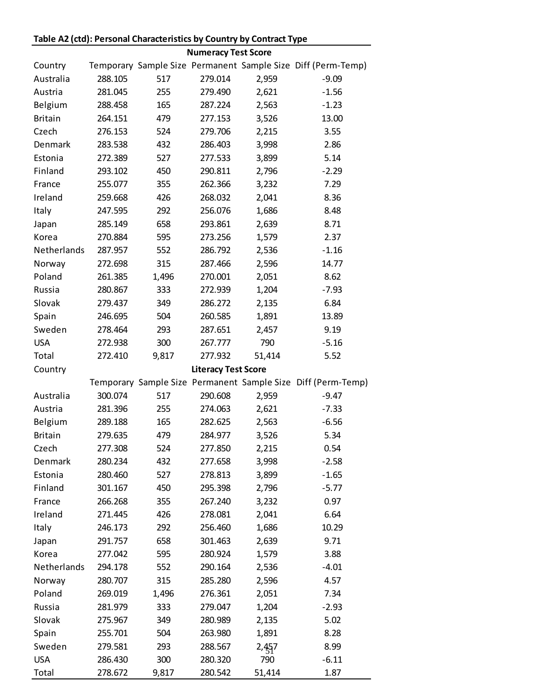## **Table A2 (ctd): Personal Characteristics by Country by Contract Type**

|                     |                    |              | <b>Numeracy Test Score</b> |               |                                                              |
|---------------------|--------------------|--------------|----------------------------|---------------|--------------------------------------------------------------|
| Country             |                    |              |                            |               | Temporary Sample Size Permanent Sample Size Diff (Perm-Temp) |
| Australia           | 288.105            | 517          | 279.014                    | 2,959         | $-9.09$                                                      |
| Austria             | 281.045            | 255          | 279.490                    | 2,621         | $-1.56$                                                      |
| Belgium             | 288.458            | 165          | 287.224                    | 2,563         | $-1.23$                                                      |
| <b>Britain</b>      | 264.151            | 479          | 277.153                    | 3,526         | 13.00                                                        |
| Czech               | 276.153            | 524          | 279.706                    | 2,215         | 3.55                                                         |
| Denmark             | 283.538            | 432          | 286.403                    | 3,998         | 2.86                                                         |
| Estonia             | 272.389            | 527          | 277.533                    | 3,899         | 5.14                                                         |
| Finland             | 293.102            | 450          | 290.811                    | 2,796         | $-2.29$                                                      |
| France              | 255.077            | 355          | 262.366                    | 3,232         | 7.29                                                         |
| Ireland             | 259.668            | 426          | 268.032                    | 2,041         | 8.36                                                         |
| Italy               | 247.595            | 292          | 256.076                    | 1,686         | 8.48                                                         |
| Japan               | 285.149            | 658          | 293.861                    | 2,639         | 8.71                                                         |
| Korea               | 270.884            | 595          | 273.256                    | 1,579         | 2.37                                                         |
| Netherlands         | 287.957            | 552          | 286.792                    | 2,536         | $-1.16$                                                      |
| Norway              | 272.698            | 315          | 287.466                    | 2,596         | 14.77                                                        |
| Poland              | 261.385            | 1,496        | 270.001                    | 2,051         | 8.62                                                         |
| Russia              | 280.867            | 333          | 272.939                    | 1,204         | $-7.93$                                                      |
| Slovak              | 279.437            | 349          | 286.272                    | 2,135         | 6.84                                                         |
| Spain               | 246.695            | 504          | 260.585                    | 1,891         | 13.89                                                        |
| Sweden              | 278.464            | 293          | 287.651                    | 2,457         | 9.19                                                         |
| <b>USA</b>          | 272.938            | 300          | 267.777                    | 790           | $-5.16$                                                      |
| Total               | 272.410            | 9,817        | 277.932                    | 51,414        | 5.52                                                         |
| Country             |                    |              | <b>Literacy Test Score</b> |               |                                                              |
|                     |                    |              |                            |               | Temporary Sample Size Permanent Sample Size Diff (Perm-Temp) |
| Australia           | 300.074            | 517          | 290.608                    | 2,959         | $-9.47$                                                      |
| Austria             | 281.396            | 255          | 274.063                    | 2,621         | $-7.33$                                                      |
| Belgium             | 289.188            | 165          | 282.625                    | 2,563         | $-6.56$                                                      |
| <b>Britain</b>      | 279.635            | 479          | 284.977                    | 3,526         | 5.34                                                         |
| Czech               | 277.308            | 524          | 277.850                    | 2,215         | 0.54                                                         |
| Denmark             | 280.234            | 432          | 277.658                    | 3,998         |                                                              |
| Estonia             |                    |              |                            |               |                                                              |
|                     |                    |              |                            |               | $-2.58$                                                      |
|                     | 280.460            | 527          | 278.813                    | 3,899         | $-1.65$                                                      |
| Finland             | 301.167            | 450          | 295.398                    | 2,796         | $-5.77$                                                      |
| France              | 266.268            | 355          | 267.240                    | 3,232         | 0.97                                                         |
| Ireland             | 271.445            | 426          | 278.081                    | 2,041         | 6.64                                                         |
| Italy               | 246.173            | 292          | 256.460                    | 1,686         | 10.29                                                        |
| Japan               | 291.757            | 658          | 301.463                    | 2,639         | 9.71                                                         |
| Korea               | 277.042            | 595          | 280.924                    | 1,579         | 3.88                                                         |
| Netherlands         | 294.178            | 552          | 290.164                    | 2,536         | $-4.01$                                                      |
| Norway              | 280.707            | 315          | 285.280                    | 2,596         | 4.57                                                         |
| Poland              | 269.019            | 1,496        | 276.361                    | 2,051         | 7.34                                                         |
| Russia              | 281.979            | 333          | 279.047                    | 1,204         | $-2.93$                                                      |
| Slovak              | 275.967            | 349          | 280.989                    | 2,135         | 5.02                                                         |
| Spain               | 255.701            | 504          | 263.980                    | 1,891         | 8.28                                                         |
| Sweden              | 279.581            | 293          | 288.567                    | 2,457         | 8.99                                                         |
| <b>USA</b><br>Total | 286.430<br>278.672 | 300<br>9,817 | 280.320<br>280.542         | 790<br>51,414 | $-6.11$<br>1.87                                              |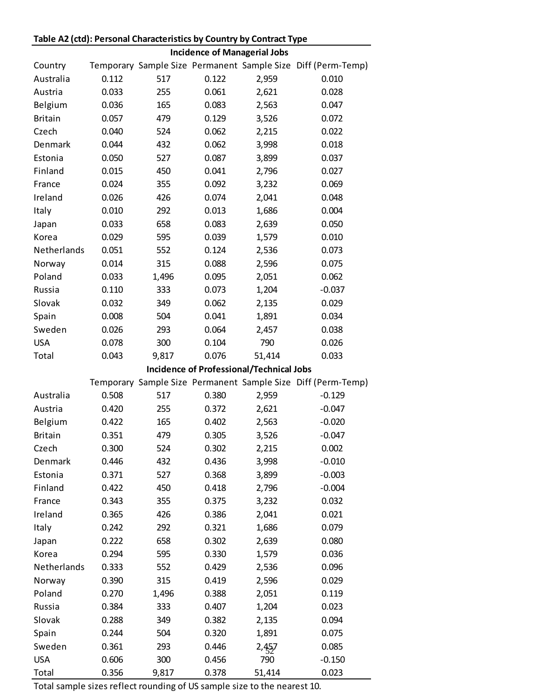|                |       |       | <b>Incidence of Managerial Jobs</b> |                                                 |                                                              |
|----------------|-------|-------|-------------------------------------|-------------------------------------------------|--------------------------------------------------------------|
| Country        |       |       |                                     |                                                 | Temporary Sample Size Permanent Sample Size Diff (Perm-Temp) |
| Australia      | 0.112 | 517   | 0.122                               | 2,959                                           | 0.010                                                        |
| Austria        | 0.033 | 255   | 0.061                               | 2,621                                           | 0.028                                                        |
| Belgium        | 0.036 | 165   | 0.083                               | 2,563                                           | 0.047                                                        |
| <b>Britain</b> | 0.057 | 479   | 0.129                               | 3,526                                           | 0.072                                                        |
| Czech          | 0.040 | 524   | 0.062                               | 2,215                                           | 0.022                                                        |
| Denmark        | 0.044 | 432   | 0.062                               | 3,998                                           | 0.018                                                        |
| Estonia        | 0.050 | 527   | 0.087                               | 3,899                                           | 0.037                                                        |
| Finland        | 0.015 | 450   | 0.041                               | 2,796                                           | 0.027                                                        |
| France         | 0.024 | 355   | 0.092                               | 3,232                                           | 0.069                                                        |
| Ireland        | 0.026 | 426   | 0.074                               | 2,041                                           | 0.048                                                        |
| Italy          | 0.010 | 292   | 0.013                               | 1,686                                           | 0.004                                                        |
| Japan          | 0.033 | 658   | 0.083                               | 2,639                                           | 0.050                                                        |
| Korea          | 0.029 | 595   | 0.039                               | 1,579                                           | 0.010                                                        |
| Netherlands    | 0.051 | 552   | 0.124                               | 2,536                                           | 0.073                                                        |
| Norway         | 0.014 | 315   | 0.088                               | 2,596                                           | 0.075                                                        |
| Poland         | 0.033 | 1,496 | 0.095                               | 2,051                                           | 0.062                                                        |
| Russia         | 0.110 | 333   | 0.073                               | 1,204                                           | $-0.037$                                                     |
| Slovak         | 0.032 | 349   | 0.062                               | 2,135                                           | 0.029                                                        |
| Spain          | 0.008 | 504   | 0.041                               | 1,891                                           | 0.034                                                        |
| Sweden         | 0.026 | 293   | 0.064                               | 2,457                                           | 0.038                                                        |
| <b>USA</b>     | 0.078 | 300   | 0.104                               | 790                                             | 0.026                                                        |
| Total          | 0.043 | 9,817 | 0.076                               | 51,414                                          | 0.033                                                        |
|                |       |       |                                     | <b>Incidence of Professional/Technical Jobs</b> |                                                              |
|                |       |       |                                     |                                                 | Temporary Sample Size Permanent Sample Size Diff (Perm-Temp) |
| Australia      | 0.508 | 517   | 0.380                               | 2,959                                           | $-0.129$                                                     |
| Austria        | 0.420 | 255   | 0.372                               | 2,621                                           | $-0.047$                                                     |
| Belgium        | 0.422 | 165   | 0.402                               | 2,563                                           | $-0.020$                                                     |
| <b>Britain</b> | 0.351 | 479   | 0.305                               | 3,526                                           | $-0.047$                                                     |
| Czech          | 0.300 | 524   | 0.302                               | 2,215                                           | 0.002                                                        |
| Denmark        | 0.446 | 432   | 0.436                               | 3,998                                           | $-0.010$                                                     |
| Estonia        | 0.371 | 527   | 0.368                               | 3,899                                           | $-0.003$                                                     |
| Finland        | 0.422 | 450   | 0.418                               | 2,796                                           | $-0.004$                                                     |
| France         | 0.343 | 355   | 0.375                               | 3,232                                           | 0.032                                                        |
| Ireland        | 0.365 | 426   | 0.386                               | 2,041                                           | 0.021                                                        |
| Italy          | 0.242 | 292   | 0.321                               | 1,686                                           | 0.079                                                        |
| Japan          | 0.222 | 658   | 0.302                               | 2,639                                           | 0.080                                                        |
| Korea          | 0.294 | 595   | 0.330                               | 1,579                                           | 0.036                                                        |
| Netherlands    | 0.333 | 552   | 0.429                               | 2,536                                           | 0.096                                                        |
| Norway         | 0.390 | 315   | 0.419                               | 2,596                                           | 0.029                                                        |
| Poland         | 0.270 | 1,496 | 0.388                               | 2,051                                           | 0.119                                                        |
| Russia         | 0.384 | 333   | 0.407                               | 1,204                                           | 0.023                                                        |
| Slovak         | 0.288 | 349   | 0.382                               | 2,135                                           | 0.094                                                        |
| Spain          | 0.244 | 504   | 0.320                               | 1,891                                           | 0.075                                                        |
| Sweden         | 0.361 | 293   | 0.446                               | 2,457                                           | 0.085                                                        |
| <b>USA</b>     | 0.606 | 300   | 0.456                               | 790                                             | $-0.150$                                                     |
| Total          | 0.356 | 9,817 | 0.378                               | 51,414                                          | 0.023                                                        |

## **Table A2 (ctd): Personal Characteristics by Country by Contract Type**

Total sample sizes reflect rounding of US sample size to the nearest 10.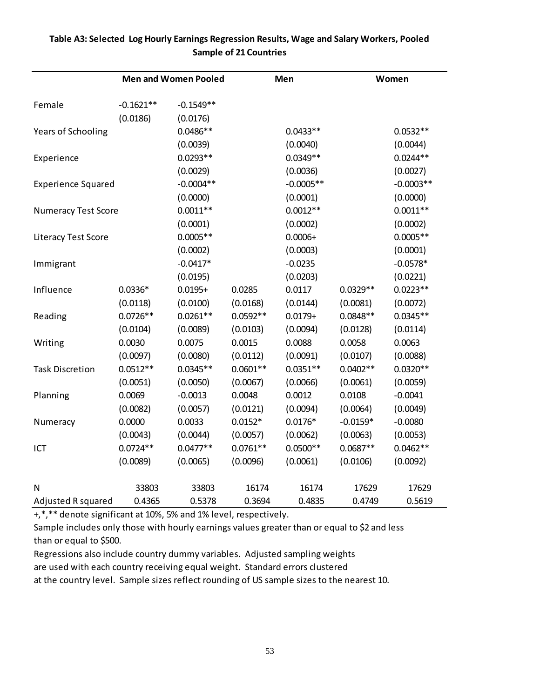|                            |             | <b>Men and Women Pooled</b> |            | Men         |            | Women       |
|----------------------------|-------------|-----------------------------|------------|-------------|------------|-------------|
| Female                     | $-0.1621**$ | $-0.1549**$                 |            |             |            |             |
|                            | (0.0186)    | (0.0176)                    |            |             |            |             |
| Years of Schooling         |             | $0.0486**$                  |            | $0.0433**$  |            | $0.0532**$  |
|                            |             | (0.0039)                    |            | (0.0040)    |            | (0.0044)    |
| Experience                 |             | $0.0293**$                  |            | $0.0349**$  |            | $0.0244**$  |
|                            |             | (0.0029)                    |            | (0.0036)    |            | (0.0027)    |
| <b>Experience Squared</b>  |             | $-0.0004**$                 |            | $-0.0005**$ |            | $-0.0003**$ |
|                            |             | (0.0000)                    |            | (0.0001)    |            | (0.0000)    |
| <b>Numeracy Test Score</b> |             | $0.0011**$                  |            | $0.0012**$  |            | $0.0011**$  |
|                            |             | (0.0001)                    |            | (0.0002)    |            | (0.0002)    |
| Literacy Test Score        |             | $0.0005**$                  |            | $0.0006 +$  |            | $0.0005**$  |
|                            |             | (0.0002)                    |            | (0.0003)    |            | (0.0001)    |
| Immigrant                  |             | $-0.0417*$                  |            | $-0.0235$   |            | $-0.0578*$  |
|                            |             | (0.0195)                    |            | (0.0203)    |            | (0.0221)    |
| Influence                  | $0.0336*$   | $0.0195 +$                  | 0.0285     | 0.0117      | $0.0329**$ | $0.0223**$  |
|                            | (0.0118)    | (0.0100)                    | (0.0168)   | (0.0144)    | (0.0081)   | (0.0072)    |
| Reading                    | $0.0726**$  | $0.0261**$                  | $0.0592**$ | $0.0179 +$  | $0.0848**$ | $0.0345**$  |
|                            | (0.0104)    | (0.0089)                    | (0.0103)   | (0.0094)    | (0.0128)   | (0.0114)    |
| Writing                    | 0.0030      | 0.0075                      | 0.0015     | 0.0088      | 0.0058     | 0.0063      |
|                            | (0.0097)    | (0.0080)                    | (0.0112)   | (0.0091)    | (0.0107)   | (0.0088)    |
| <b>Task Discretion</b>     | $0.0512**$  | $0.0345**$                  | $0.0601**$ | $0.0351**$  | $0.0402**$ | $0.0320**$  |
|                            | (0.0051)    | (0.0050)                    | (0.0067)   | (0.0066)    | (0.0061)   | (0.0059)    |
| Planning                   | 0.0069      | $-0.0013$                   | 0.0048     | 0.0012      | 0.0108     | $-0.0041$   |
|                            | (0.0082)    | (0.0057)                    | (0.0121)   | (0.0094)    | (0.0064)   | (0.0049)    |
| Numeracy                   | 0.0000      | 0.0033                      | $0.0152*$  | $0.0176*$   | $-0.0159*$ | $-0.0080$   |
|                            | (0.0043)    | (0.0044)                    | (0.0057)   | (0.0062)    | (0.0063)   | (0.0053)    |
| ICT                        | $0.0724**$  | $0.0477**$                  | $0.0761**$ | $0.0500**$  | $0.0687**$ | $0.0462**$  |
|                            | (0.0089)    | (0.0065)                    | (0.0096)   | (0.0061)    | (0.0106)   | (0.0092)    |
| N                          | 33803       | 33803                       | 16174      | 16174       | 17629      | 17629       |
| Adjusted R squared         | 0.4365      | 0.5378                      | 0.3694     | 0.4835      | 0.4749     | 0.5619      |

## **Table A3: Selected Log Hourly Earnings Regression Results, Wage and Salary Workers, Pooled Sample of 21 Countries**

+,\*,\*\* denote significant at 10%, 5% and 1% level, respectively.

Sample includes only those with hourly earnings values greater than or equal to \$2 and less than or equal to \$500.

Regressions also include country dummy variables. Adjusted sampling weights are used with each country receiving equal weight. Standard errors clustered at the country level. Sample sizes reflect rounding of US sample sizes to the nearest 10.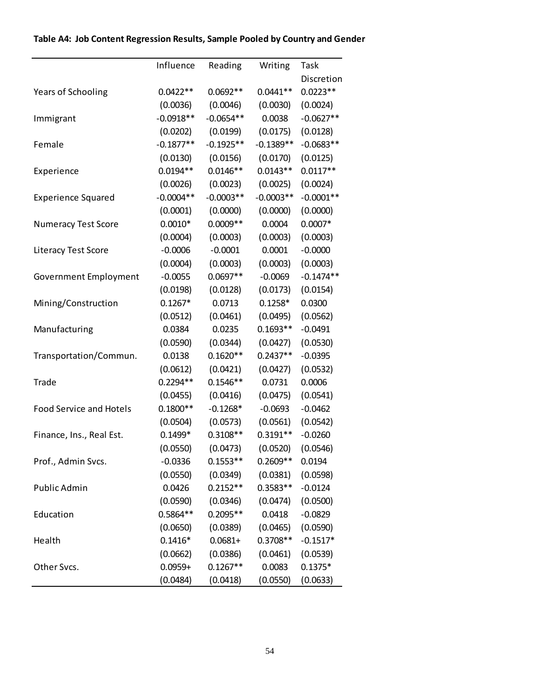|                                | Influence   | Reading     | Writing     | Task        |
|--------------------------------|-------------|-------------|-------------|-------------|
|                                |             |             |             | Discretion  |
| Years of Schooling             | $0.0422**$  | $0.0692**$  | $0.0441**$  | $0.0223**$  |
|                                | (0.0036)    | (0.0046)    | (0.0030)    | (0.0024)    |
| Immigrant                      | $-0.0918**$ | $-0.0654**$ | 0.0038      | $-0.0627**$ |
|                                | (0.0202)    | (0.0199)    | (0.0175)    | (0.0128)    |
| Female                         | $-0.1877**$ | $-0.1925**$ | $-0.1389**$ | $-0.0683**$ |
|                                | (0.0130)    | (0.0156)    | (0.0170)    | (0.0125)    |
| Experience                     | $0.0194**$  | $0.0146**$  | $0.0143**$  | $0.0117**$  |
|                                | (0.0026)    | (0.0023)    | (0.0025)    | (0.0024)    |
| <b>Experience Squared</b>      | $-0.0004**$ | $-0.0003**$ | $-0.0003**$ | $-0.0001**$ |
|                                | (0.0001)    | (0.0000)    | (0.0000)    | (0.0000)    |
| <b>Numeracy Test Score</b>     | $0.0010*$   | $0.0009**$  | 0.0004      | $0.0007*$   |
|                                | (0.0004)    | (0.0003)    | (0.0003)    | (0.0003)    |
| Literacy Test Score            | $-0.0006$   | $-0.0001$   | 0.0001      | $-0.0000$   |
|                                | (0.0004)    | (0.0003)    | (0.0003)    | (0.0003)    |
| Government Employment          | $-0.0055$   | $0.0697**$  | $-0.0069$   | $-0.1474**$ |
|                                | (0.0198)    | (0.0128)    | (0.0173)    | (0.0154)    |
| Mining/Construction            | $0.1267*$   | 0.0713      | $0.1258*$   | 0.0300      |
|                                | (0.0512)    | (0.0461)    | (0.0495)    | (0.0562)    |
| Manufacturing                  | 0.0384      | 0.0235      | $0.1693**$  | $-0.0491$   |
|                                | (0.0590)    | (0.0344)    | (0.0427)    | (0.0530)    |
| Transportation/Commun.         | 0.0138      | $0.1620**$  | $0.2437**$  | $-0.0395$   |
|                                | (0.0612)    | (0.0421)    | (0.0427)    | (0.0532)    |
| Trade                          | $0.2294**$  | $0.1546**$  | 0.0731      | 0.0006      |
|                                | (0.0455)    | (0.0416)    | (0.0475)    | (0.0541)    |
| <b>Food Service and Hotels</b> | $0.1800**$  | $-0.1268*$  | $-0.0693$   | $-0.0462$   |
|                                | (0.0504)    | (0.0573)    | (0.0561)    | (0.0542)    |
| Finance, Ins., Real Est.       | $0.1499*$   | $0.3108**$  | $0.3191**$  | $-0.0260$   |
|                                | (0.0550)    | (0.0473)    | (0.0520)    | (0.0546)    |
| Prof., Admin Svcs.             | $-0.0336$   | $0.1553**$  | $0.2609**$  | 0.0194      |
|                                | (0.0550)    | (0.0349)    | (0.0381)    | (0.0598)    |
| Public Admin                   | 0.0426      | $0.2152**$  | $0.3583**$  | $-0.0124$   |
|                                | (0.0590)    | (0.0346)    | (0.0474)    | (0.0500)    |
| Education                      | $0.5864**$  | $0.2095**$  | 0.0418      | $-0.0829$   |
|                                | (0.0650)    | (0.0389)    | (0.0465)    | (0.0590)    |
| Health                         | $0.1416*$   | $0.0681 +$  | $0.3708**$  | $-0.1517*$  |
|                                | (0.0662)    | (0.0386)    | (0.0461)    | (0.0539)    |
| Other Svcs.                    | $0.0959 +$  | $0.1267**$  | 0.0083      | $0.1375*$   |
|                                | (0.0484)    | (0.0418)    | (0.0550)    | (0.0633)    |

## **Table A4: Job Content Regression Results, Sample Pooled by Country and Gender**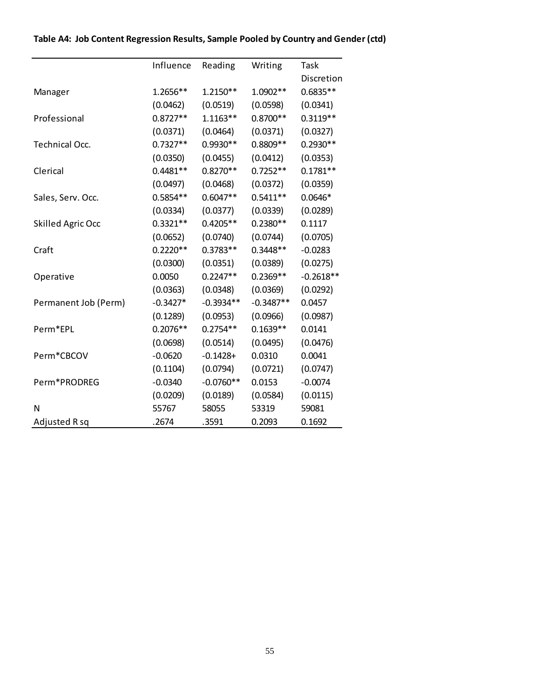|                          | Influence  | Reading     | Writing     | Task        |
|--------------------------|------------|-------------|-------------|-------------|
|                          |            |             |             | Discretion  |
| Manager                  | 1.2656**   | $1.2150**$  | 1.0902**    | $0.6835**$  |
|                          | (0.0462)   | (0.0519)    | (0.0598)    | (0.0341)    |
| Professional             | $0.8727**$ | $1.1163**$  | $0.8700**$  | $0.3119**$  |
|                          | (0.0371)   | (0.0464)    | (0.0371)    | (0.0327)    |
| Technical Occ.           | $0.7327**$ | $0.9930**$  | $0.8809**$  | $0.2930**$  |
|                          | (0.0350)   | (0.0455)    | (0.0412)    | (0.0353)    |
| Clerical                 | $0.4481**$ | $0.8270**$  | $0.7252**$  | $0.1781**$  |
|                          | (0.0497)   | (0.0468)    | (0.0372)    | (0.0359)    |
| Sales, Serv. Occ.        | $0.5854**$ | $0.6047**$  | $0.5411**$  | $0.0646*$   |
|                          | (0.0334)   | (0.0377)    | (0.0339)    | (0.0289)    |
| <b>Skilled Agric Occ</b> | $0.3321**$ | $0.4205**$  | $0.2380**$  | 0.1117      |
|                          | (0.0652)   | (0.0740)    | (0.0744)    | (0.0705)    |
| Craft                    | $0.2220**$ | $0.3783**$  | $0.3448**$  | $-0.0283$   |
|                          | (0.0300)   | (0.0351)    | (0.0389)    | (0.0275)    |
| Operative                | 0.0050     | $0.2247**$  | $0.2369**$  | $-0.2618**$ |
|                          | (0.0363)   | (0.0348)    | (0.0369)    | (0.0292)    |
| Permanent Job (Perm)     | $-0.3427*$ | $-0.3934**$ | $-0.3487**$ | 0.0457      |
|                          | (0.1289)   | (0.0953)    | (0.0966)    | (0.0987)    |
| Perm*EPL                 | $0.2076**$ | $0.2754**$  | $0.1639**$  | 0.0141      |
|                          | (0.0698)   | (0.0514)    | (0.0495)    | (0.0476)    |
| Perm*CBCOV               | $-0.0620$  | $-0.1428 +$ | 0.0310      | 0.0041      |
|                          | (0.1104)   | (0.0794)    | (0.0721)    | (0.0747)    |
| Perm*PRODREG             | $-0.0340$  | $-0.0760**$ | 0.0153      | $-0.0074$   |
|                          | (0.0209)   | (0.0189)    | (0.0584)    | (0.0115)    |
| N                        | 55767      | 58055       | 53319       | 59081       |
| Adjusted R sq            | .2674      | .3591       | 0.2093      | 0.1692      |

## **Table A4: Job Content Regression Results, Sample Pooled by Country and Gender (ctd)**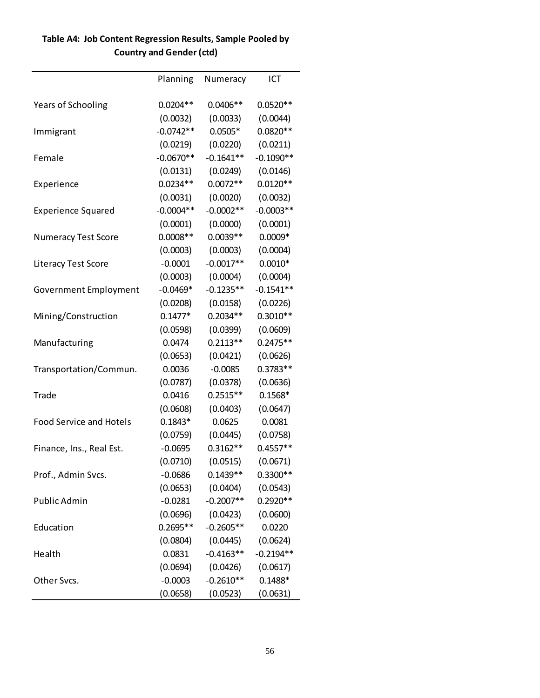|                                | Planning    | Numeracy    | ICT         |
|--------------------------------|-------------|-------------|-------------|
| <b>Years of Schooling</b>      | $0.0204**$  | $0.0406**$  | $0.0520**$  |
|                                | (0.0032)    | (0.0033)    | (0.0044)    |
| Immigrant                      | $-0.0742**$ | $0.0505*$   | $0.0820**$  |
|                                | (0.0219)    | (0.0220)    | (0.0211)    |
| Female                         | $-0.0670**$ | $-0.1641**$ | $-0.1090**$ |
|                                | (0.0131)    | (0.0249)    | (0.0146)    |
| Experience                     | $0.0234**$  | $0.0072**$  | $0.0120**$  |
|                                | (0.0031)    | (0.0020)    | (0.0032)    |
| <b>Experience Squared</b>      | $-0.0004**$ | $-0.0002**$ | $-0.0003**$ |
|                                | (0.0001)    | (0.0000)    | (0.0001)    |
| <b>Numeracy Test Score</b>     | $0.0008**$  | $0.0039**$  | $0.0009*$   |
|                                | (0.0003)    | (0.0003)    | (0.0004)    |
| <b>Literacy Test Score</b>     | $-0.0001$   | $-0.0017**$ | $0.0010*$   |
|                                | (0.0003)    | (0.0004)    | (0.0004)    |
| Government Employment          | $-0.0469*$  | $-0.1235**$ | $-0.1541**$ |
|                                | (0.0208)    | (0.0158)    | (0.0226)    |
| Mining/Construction            | $0.1477*$   | $0.2034**$  | $0.3010**$  |
|                                | (0.0598)    | (0.0399)    | (0.0609)    |
| Manufacturing                  | 0.0474      | $0.2113**$  | $0.2475**$  |
|                                | (0.0653)    | (0.0421)    | (0.0626)    |
| Transportation/Commun.         | 0.0036      | $-0.0085$   | $0.3783**$  |
|                                | (0.0787)    | (0.0378)    | (0.0636)    |
| Trade                          | 0.0416      | $0.2515**$  | $0.1568*$   |
|                                | (0.0608)    | (0.0403)    | (0.0647)    |
| <b>Food Service and Hotels</b> | $0.1843*$   | 0.0625      | 0.0081      |
|                                | (0.0759)    | (0.0445)    | (0.0758)    |
| Finance, Ins., Real Est.       | $-0.0695$   | $0.3162**$  | $0.4557**$  |
|                                | (0.0710)    | (0.0515)    | (0.0671)    |
| Prof., Admin Svcs.             | $-0.0686$   | $0.1439**$  | 0.3300**    |
|                                | (0.0653)    | (0.0404)    | (0.0543)    |
| Public Admin                   | $-0.0281$   | $-0.2007**$ | $0.2920**$  |
|                                | (0.0696)    | (0.0423)    | (0.0600)    |
| Education                      | $0.2695**$  | $-0.2605**$ | 0.0220      |
|                                | (0.0804)    | (0.0445)    | (0.0624)    |
| Health                         | 0.0831      | $-0.4163**$ | $-0.2194**$ |
|                                | (0.0694)    | (0.0426)    | (0.0617)    |
| Other Svcs.                    | $-0.0003$   | $-0.2610**$ | $0.1488*$   |
|                                | (0.0658)    | (0.0523)    | (0.0631)    |

## **Table A4: Job Content Regression Results, Sample Pooled by Country and Gender (ctd)**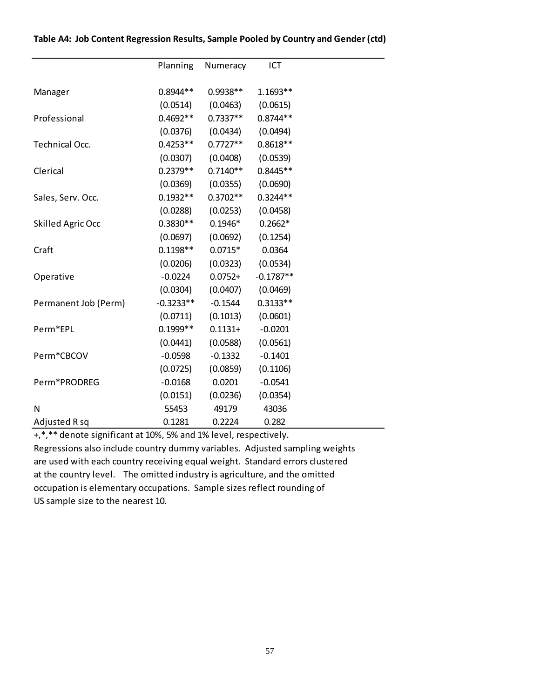|                          | Planning    | Numeracy   | ICT         |  |
|--------------------------|-------------|------------|-------------|--|
|                          |             |            |             |  |
| Manager                  | $0.8944**$  | $0.9938**$ | $1.1693**$  |  |
|                          | (0.0514)    | (0.0463)   | (0.0615)    |  |
| Professional             | $0.4692**$  | $0.7337**$ | $0.8744**$  |  |
|                          | (0.0376)    | (0.0434)   | (0.0494)    |  |
| Technical Occ.           | $0.4253**$  | $0.7727**$ | $0.8618**$  |  |
|                          | (0.0307)    | (0.0408)   | (0.0539)    |  |
| Clerical                 | $0.2379**$  | $0.7140**$ | $0.8445**$  |  |
|                          | (0.0369)    | (0.0355)   | (0.0690)    |  |
| Sales, Serv. Occ.        | $0.1932**$  | $0.3702**$ | $0.3244**$  |  |
|                          | (0.0288)    | (0.0253)   | (0.0458)    |  |
| <b>Skilled Agric Occ</b> | $0.3830**$  | $0.1946*$  | $0.2662*$   |  |
|                          | (0.0697)    | (0.0692)   | (0.1254)    |  |
| Craft                    | $0.1198**$  | $0.0715*$  | 0.0364      |  |
|                          | (0.0206)    | (0.0323)   | (0.0534)    |  |
| Operative                | $-0.0224$   | $0.0752 +$ | $-0.1787**$ |  |
|                          | (0.0304)    | (0.0407)   | (0.0469)    |  |
| Permanent Job (Perm)     | $-0.3233**$ | $-0.1544$  | $0.3133**$  |  |
|                          | (0.0711)    | (0.1013)   | (0.0601)    |  |
| Perm*EPL                 | $0.1999**$  | $0.1131 +$ | $-0.0201$   |  |
|                          | (0.0441)    | (0.0588)   | (0.0561)    |  |
| Perm*CBCOV               | $-0.0598$   | $-0.1332$  | $-0.1401$   |  |
|                          | (0.0725)    | (0.0859)   | (0.1106)    |  |
| Perm*PRODREG             | $-0.0168$   | 0.0201     | $-0.0541$   |  |
|                          | (0.0151)    | (0.0236)   | (0.0354)    |  |
| N                        | 55453       | 49179      | 43036       |  |
| Adjusted R sq            | 0.1281      | 0.2224     | 0.282       |  |

### **Table A4: Job Content Regression Results, Sample Pooled by Country and Gender (ctd)**

+,\*,\*\* denote significant at 10%, 5% and 1% level, respectively.

Regressions also include country dummy variables. Adjusted sampling weights are used with each country receiving equal weight. Standard errors clustered at the country level. The omitted industry is agriculture, and the omitted occupation is elementary occupations. Sample sizes reflect rounding of US sample size to the nearest 10.